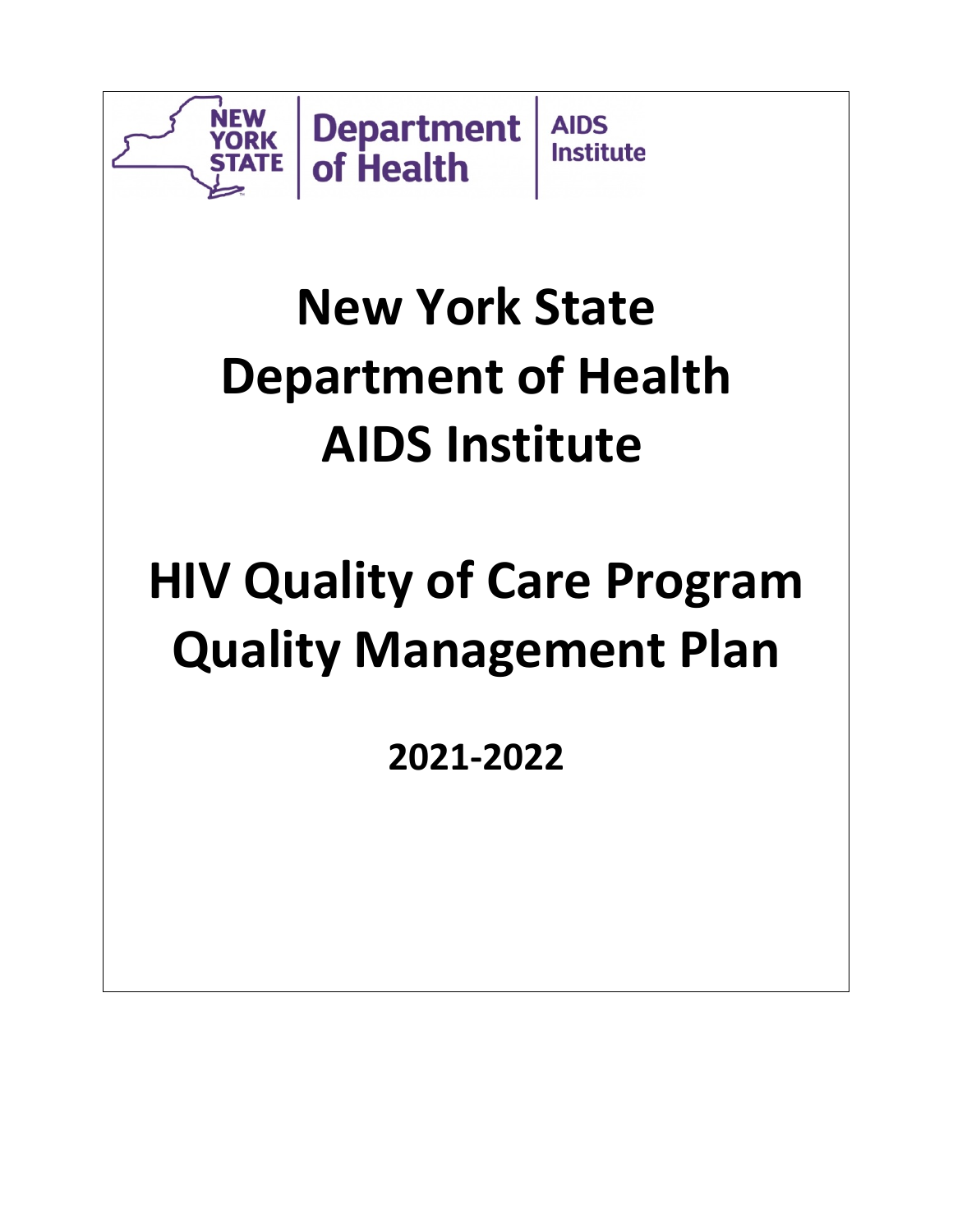

# **New York State Department of Health AIDS Institute**

# **HIV Quality of Care Program Quality Management Plan**

**2021-2022**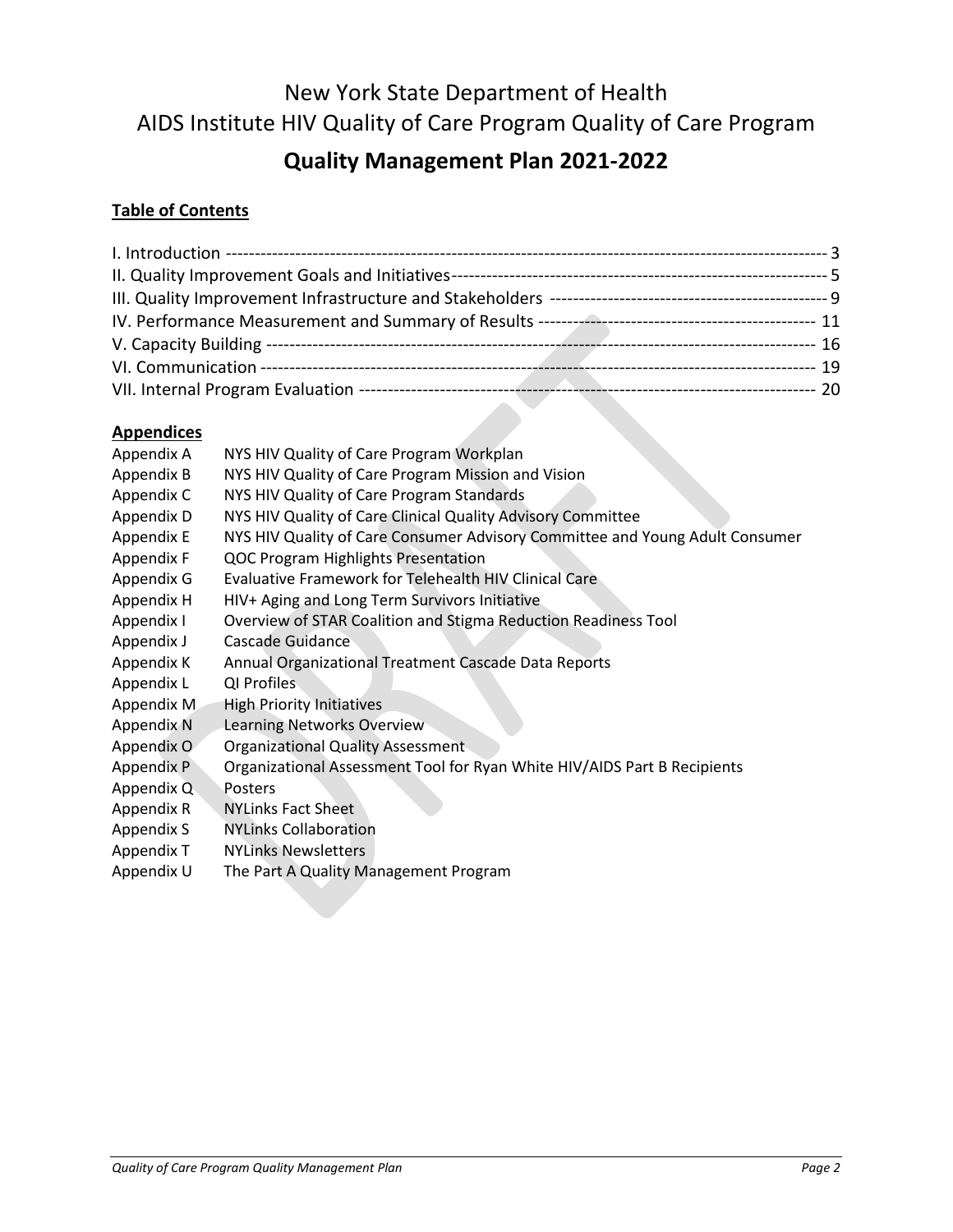# New York State Department of Health AIDS Institute HIV Quality of Care Program Quality of Care Program

# **Quality Management Plan 2021-2022**

## **Table of Contents**

## **Appendices**

| , , , , , , , , , , , , , , , |                                                                              |
|-------------------------------|------------------------------------------------------------------------------|
| Appendix A                    | NYS HIV Quality of Care Program Workplan                                     |
| Appendix B                    | NYS HIV Quality of Care Program Mission and Vision                           |
| Appendix C                    | NYS HIV Quality of Care Program Standards                                    |
| Appendix D                    | NYS HIV Quality of Care Clinical Quality Advisory Committee                  |
| Appendix E                    | NYS HIV Quality of Care Consumer Advisory Committee and Young Adult Consumer |
| Appendix F                    | <b>QOC Program Highlights Presentation</b>                                   |
| Appendix G                    | Evaluative Framework for Telehealth HIV Clinical Care                        |
| Appendix H                    | HIV+ Aging and Long Term Survivors Initiative                                |
| Appendix I                    | Overview of STAR Coalition and Stigma Reduction Readiness Tool               |
| Appendix J                    | Cascade Guidance                                                             |
| Appendix K                    | Annual Organizational Treatment Cascade Data Reports                         |
| Appendix L                    | QI Profiles                                                                  |
| Appendix M                    | <b>High Priority Initiatives</b>                                             |
| Appendix N                    | Learning Networks Overview                                                   |
| Appendix O                    | <b>Organizational Quality Assessment</b>                                     |
| Appendix P                    | Organizational Assessment Tool for Ryan White HIV/AIDS Part B Recipients     |
| Appendix Q                    | Posters                                                                      |
| Appendix R                    | <b>NYLinks Fact Sheet</b>                                                    |
| Appendix S                    | <b>NYLinks Collaboration</b>                                                 |
| Appendix T                    | <b>NYLinks Newsletters</b>                                                   |
| Appendix U                    | The Part A Quality Management Program                                        |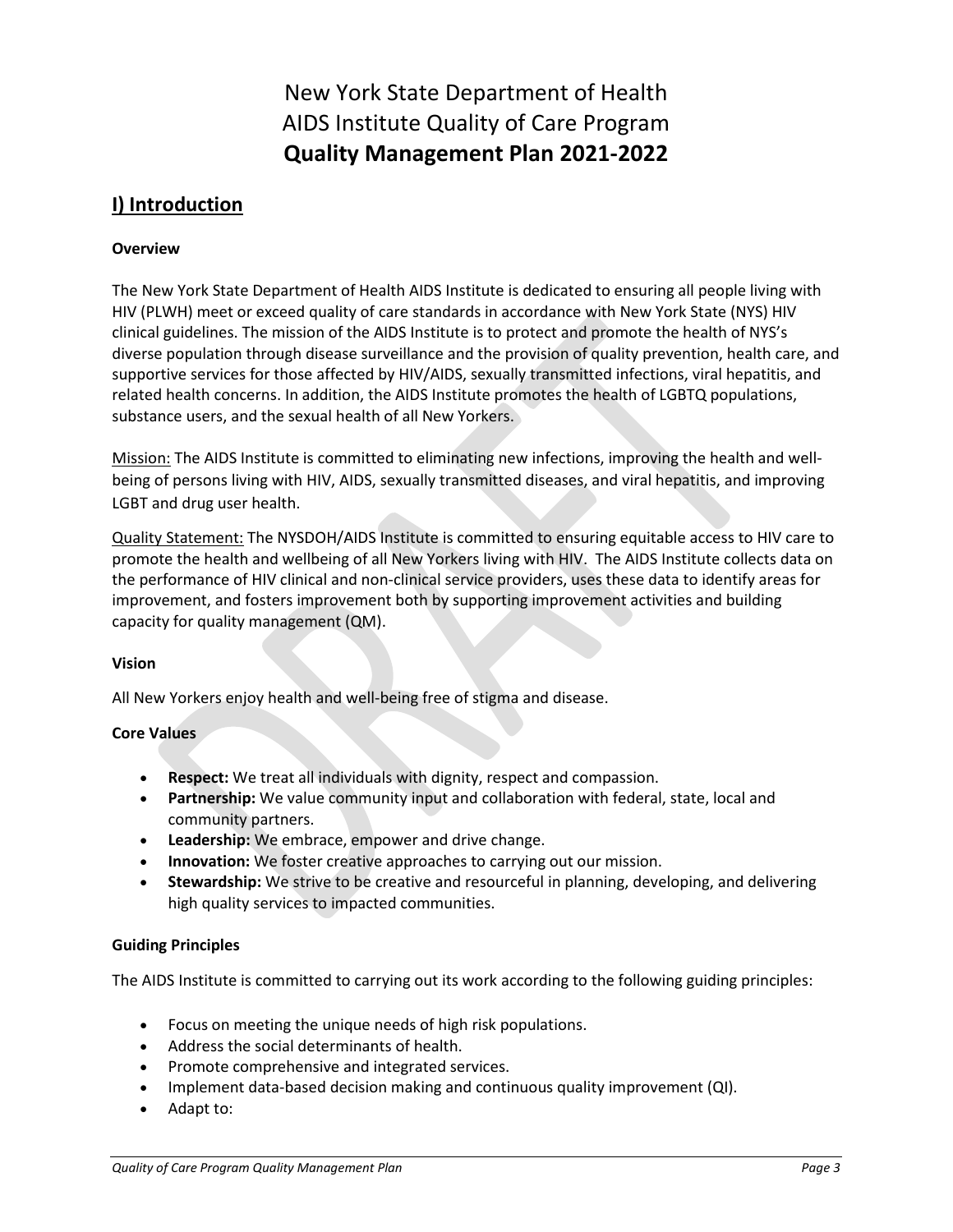New York State Department of Health AIDS Institute Quality of Care Program **Quality Management Plan 2021-2022**

## **I) Introduction**

#### **Overview**

The New York State Department of Health AIDS Institute is dedicated to ensuring all people living with HIV (PLWH) meet or exceed quality of care standards in accordance with New York State (NYS) HIV clinical guidelines. The mission of the AIDS Institute is to protect and promote the health of NYS's diverse population through disease surveillance and the provision of quality prevention, health care, and supportive services for those affected by HIV/AIDS, sexually transmitted infections, viral hepatitis, and related health concerns. In addition, the AIDS Institute promotes the health of LGBTQ populations, substance users, and the sexual health of all New Yorkers.

Mission: The AIDS Institute is committed to eliminating new infections, improving the health and wellbeing of persons living with HIV, AIDS, sexually transmitted diseases, and viral hepatitis, and improving LGBT and drug user health.

Quality Statement: The NYSDOH/AIDS Institute is committed to ensuring equitable access to HIV care to promote the health and wellbeing of all New Yorkers living with HIV. The AIDS Institute collects data on the performance of HIV clinical and non-clinical service providers, uses these data to identify areas for improvement, and fosters improvement both by supporting improvement activities and building capacity for quality management (QM).

#### **Vision**

All New Yorkers enjoy health and well-being free of stigma and disease.

#### **Core Values**

- **Respect:** We treat all individuals with dignity, respect and compassion.
- **Partnership:** We value community input and collaboration with federal, state, local and community partners.
- **Leadership:** We embrace, empower and drive change.
- **Innovation:** We foster creative approaches to carrying out our mission.
- **Stewardship:** We strive to be creative and resourceful in planning, developing, and delivering high quality services to impacted communities.

#### **Guiding Principles**

The AIDS Institute is committed to carrying out its work according to the following guiding principles:

- Focus on meeting the unique needs of high risk populations.
- Address the social determinants of health.
- Promote comprehensive and integrated services.
- Implement data-based decision making and continuous quality improvement (QI).
- Adapt to: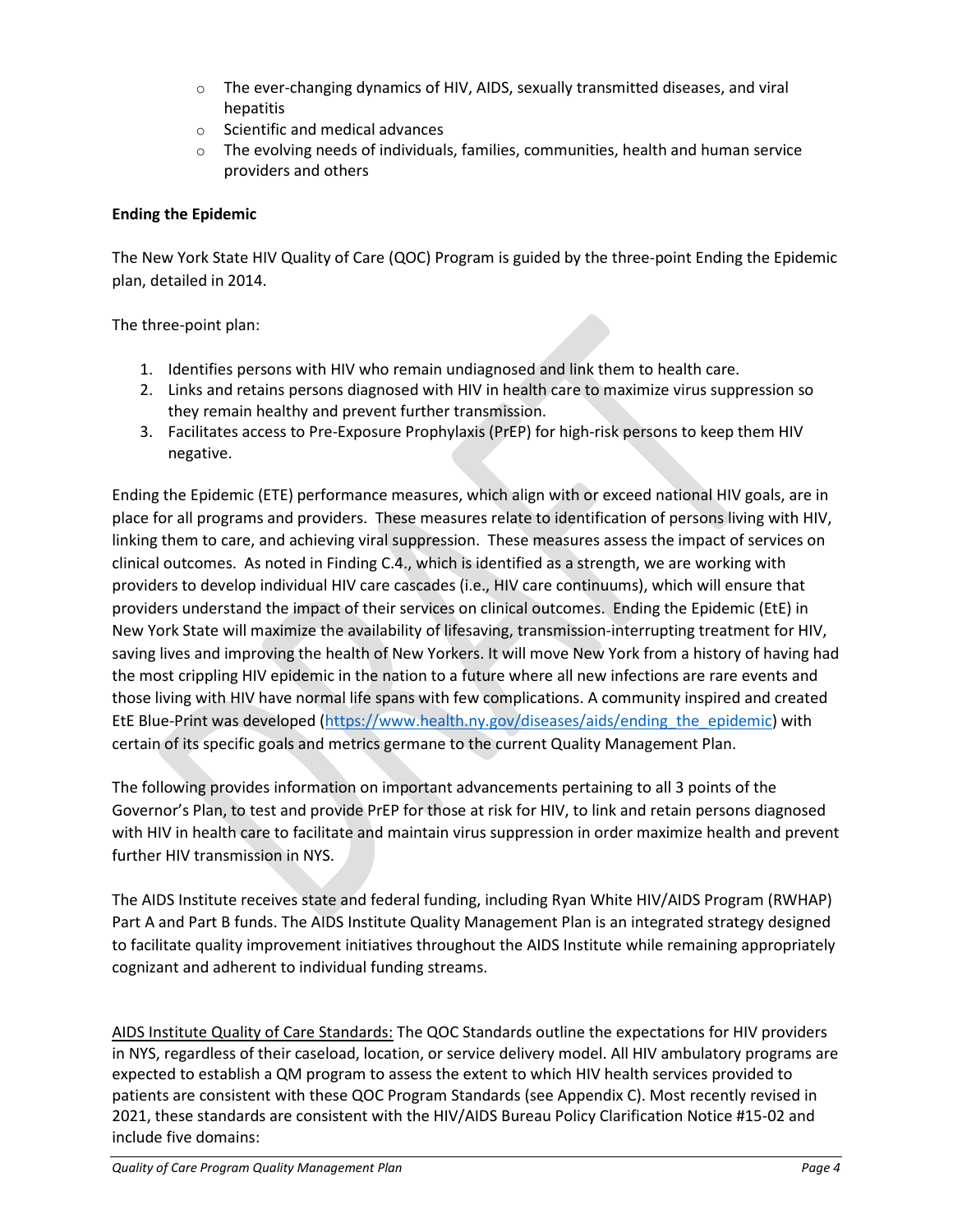- $\circ$  The ever-changing dynamics of HIV, AIDS, sexually transmitted diseases, and viral hepatitis
- o Scientific and medical advances
- $\circ$  The evolving needs of individuals, families, communities, health and human service providers and others

#### **Ending the Epidemic**

The New York State HIV Quality of Care (QOC) Program is guided by the three-point Ending the Epidemic plan, detailed in 2014.

The three-point plan:

- 1. Identifies persons with HIV who remain undiagnosed and link them to health care.
- 2. Links and retains persons diagnosed with HIV in health care to maximize virus suppression so they remain healthy and prevent further transmission.
- 3. Facilitates access to Pre-Exposure Prophylaxis (PrEP) for high-risk persons to keep them HIV negative.

Ending the Epidemic (ETE) performance measures, which align with or exceed national HIV goals, are in place for all programs and providers. These measures relate to identification of persons living with HIV, linking them to care, and achieving viral suppression. These measures assess the impact of services on clinical outcomes. As noted in Finding C.4., which is identified as a strength, we are working with providers to develop individual HIV care cascades (i.e., HIV care continuums), which will ensure that providers understand the impact of their services on clinical outcomes. Ending the Epidemic (EtE) in New York State will maximize the availability of lifesaving, transmission-interrupting treatment for HIV, saving lives and improving the health of New Yorkers. It will move New York from a history of having had the most crippling HIV epidemic in the nation to a future where all new infections are rare events and those living with HIV have normal life spans with few complications. A community inspired and created EtE Blue-Print was developed [\(https://www.health.ny.gov/diseases/aids/ending\\_the\\_epidemic\)](https://www.health.ny.gov/diseases/aids/ending_the_epidemic) with certain of its specific goals and metrics germane to the current Quality Management Plan.

The following provides information on important advancements pertaining to all 3 points of the Governor's Plan, to test and provide PrEP for those at risk for HIV, to link and retain persons diagnosed with HIV in health care to facilitate and maintain virus suppression in order maximize health and prevent further HIV transmission in NYS.

The AIDS Institute receives state and federal funding, including Ryan White HIV/AIDS Program (RWHAP) Part A and Part B funds. The AIDS Institute Quality Management Plan is an integrated strategy designed to facilitate quality improvement initiatives throughout the AIDS Institute while remaining appropriately cognizant and adherent to individual funding streams.

AIDS Institute Quality of Care Standards: The QOC Standards outline the expectations for HIV providers in NYS, regardless of their caseload, location, or service delivery model. All HIV ambulatory programs are expected to establish a QM program to assess the extent to which HIV health services provided to patients are consistent with these QOC Program Standards (see Appendix C). Most recently revised in 2021, these standards are consistent with the HIV/AIDS Bureau Policy Clarification Notice #15-02 and include five domains: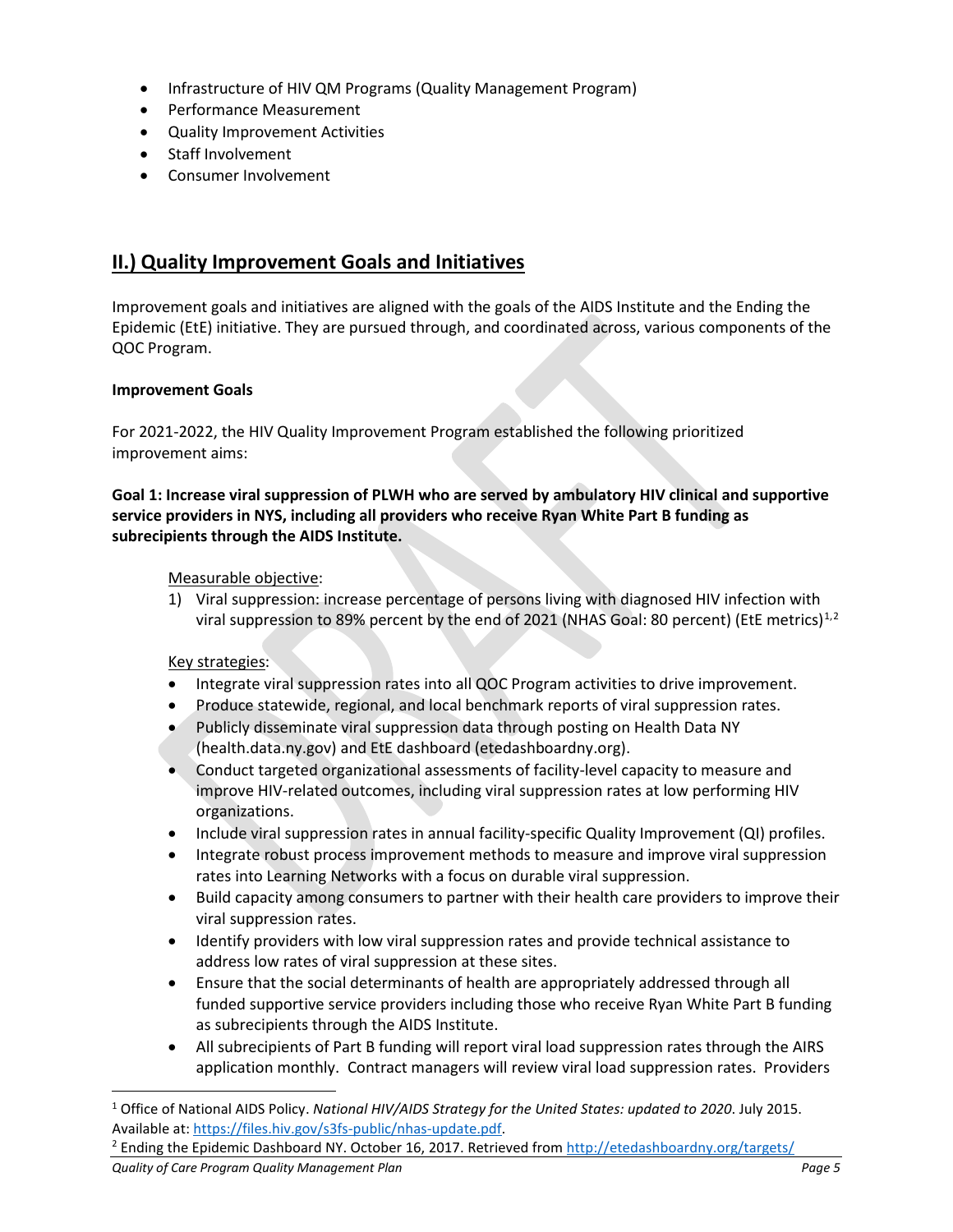- Infrastructure of HIV QM Programs (Quality Management Program)
- Performance Measurement
- Quality Improvement Activities
- Staff Involvement
- Consumer Involvement

## **II.) Quality Improvement Goals and Initiatives**

Improvement goals and initiatives are aligned with the goals of the AIDS Institute and the Ending the Epidemic (EtE) initiative. They are pursued through, and coordinated across, various components of the QOC Program.

#### **Improvement Goals**

For 2021-2022, the HIV Quality Improvement Program established the following prioritized improvement aims:

**Goal 1: Increase viral suppression of PLWH who are served by ambulatory HIV clinical and supportive service providers in NYS, including all providers who receive Ryan White Part B funding as subrecipients through the AIDS Institute.**

#### Measurable objective:

1) Viral suppression: increase percentage of persons living with diagnosed HIV infection with viral suppression to 89% percent by the end of 202[1](#page-4-0) (NHAS Goal: 80 percent) (EtE metrics)<sup>1,[2](#page-4-1)</sup>

#### Key strategies:

- Integrate viral suppression rates into all QOC Program activities to drive improvement.
- Produce statewide, regional, and local benchmark reports of viral suppression rates.
- Publicly disseminate viral suppression data through posting on Health Data NY (health.data.ny.gov) and EtE dashboard (etedashboardny.org).
- Conduct targeted organizational assessments of facility-level capacity to measure and improve HIV-related outcomes, including viral suppression rates at low performing HIV organizations.
- Include viral suppression rates in annual facility-specific Quality Improvement (QI) profiles.
- Integrate robust process improvement methods to measure and improve viral suppression rates into Learning Networks with a focus on durable viral suppression.
- Build capacity among consumers to partner with their health care providers to improve their viral suppression rates.
- Identify providers with low viral suppression rates and provide technical assistance to address low rates of viral suppression at these sites.
- Ensure that the social determinants of health are appropriately addressed through all funded supportive service providers including those who receive Ryan White Part B funding as subrecipients through the AIDS Institute.
- All subrecipients of Part B funding will report viral load suppression rates through the AIRS application monthly. Contract managers will review viral load suppression rates. Providers

<span id="page-4-1"></span>*Quality of Care Program Quality Management Plan Page 5*

<span id="page-4-0"></span><sup>1</sup> Office of National AIDS Policy. *National HIV/AIDS Strategy for the United States: updated to 2020*. July 2015. Available at: https://files.hiv.gov/s3fs-public/nhas-update.pdf.<br><sup>2</sup> Ending the Epidemic Dashboard NY. October 16, 2017. Retrieved from<http://etedashboardny.org/targets/>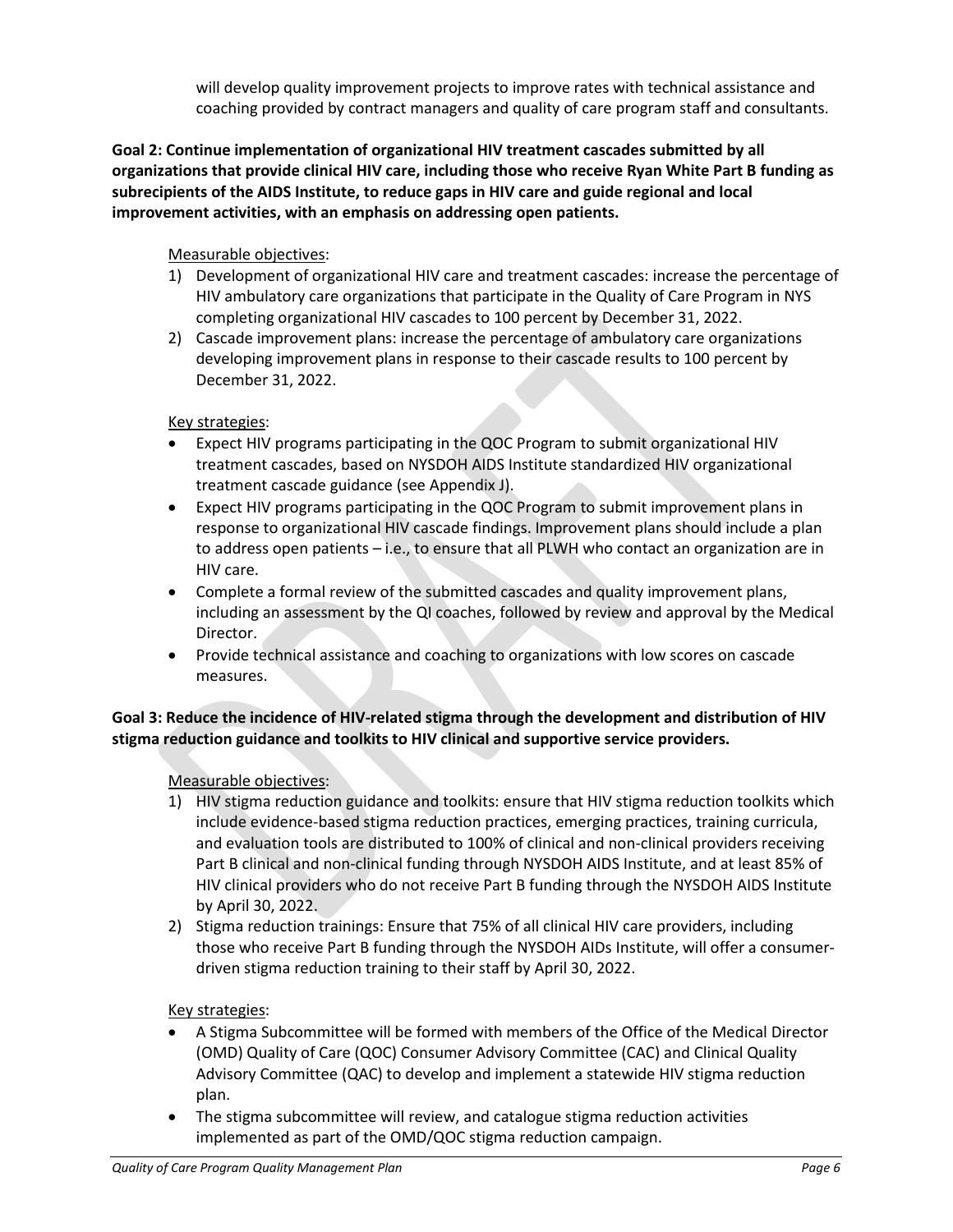will develop quality improvement projects to improve rates with technical assistance and coaching provided by contract managers and quality of care program staff and consultants.

**Goal 2: Continue implementation of organizational HIV treatment cascades submitted by all organizations that provide clinical HIV care, including those who receive Ryan White Part B funding as subrecipients of the AIDS Institute, to reduce gaps in HIV care and guide regional and local improvement activities, with an emphasis on addressing open patients.**

#### Measurable objectives:

- 1) Development of organizational HIV care and treatment cascades: increase the percentage of HIV ambulatory care organizations that participate in the Quality of Care Program in NYS completing organizational HIV cascades to 100 percent by December 31, 2022.
- 2) Cascade improvement plans: increase the percentage of ambulatory care organizations developing improvement plans in response to their cascade results to 100 percent by December 31, 2022.

#### Key strategies:

- Expect HIV programs participating in the QOC Program to submit organizational HIV treatment cascades, based on NYSDOH AIDS Institute standardized HIV organizational treatment cascade guidance (see Appendix J).
- Expect HIV programs participating in the QOC Program to submit improvement plans in response to organizational HIV cascade findings. Improvement plans should include a plan to address open patients – i.e., to ensure that all PLWH who contact an organization are in HIV care.
- Complete a formal review of the submitted cascades and quality improvement plans, including an assessment by the QI coaches, followed by review and approval by the Medical Director.
- Provide technical assistance and coaching to organizations with low scores on cascade measures.

#### **Goal 3: Reduce the incidence of HIV-related stigma through the development and distribution of HIV stigma reduction guidance and toolkits to HIV clinical and supportive service providers.**

#### Measurable objectives:

- 1) HIV stigma reduction guidance and toolkits: ensure that HIV stigma reduction toolkits which include evidence-based stigma reduction practices, emerging practices, training curricula, and evaluation tools are distributed to 100% of clinical and non-clinical providers receiving Part B clinical and non-clinical funding through NYSDOH AIDS Institute, and at least 85% of HIV clinical providers who do not receive Part B funding through the NYSDOH AIDS Institute by April 30, 2022.
- 2) Stigma reduction trainings: Ensure that 75% of all clinical HIV care providers, including those who receive Part B funding through the NYSDOH AIDs Institute, will offer a consumerdriven stigma reduction training to their staff by April 30, 2022.

#### Key strategies:

- A Stigma Subcommittee will be formed with members of the Office of the Medical Director (OMD) Quality of Care (QOC) Consumer Advisory Committee (CAC) and Clinical Quality Advisory Committee (QAC) to develop and implement a statewide HIV stigma reduction plan.
- The stigma subcommittee will review, and catalogue stigma reduction activities implemented as part of the OMD/QOC stigma reduction campaign.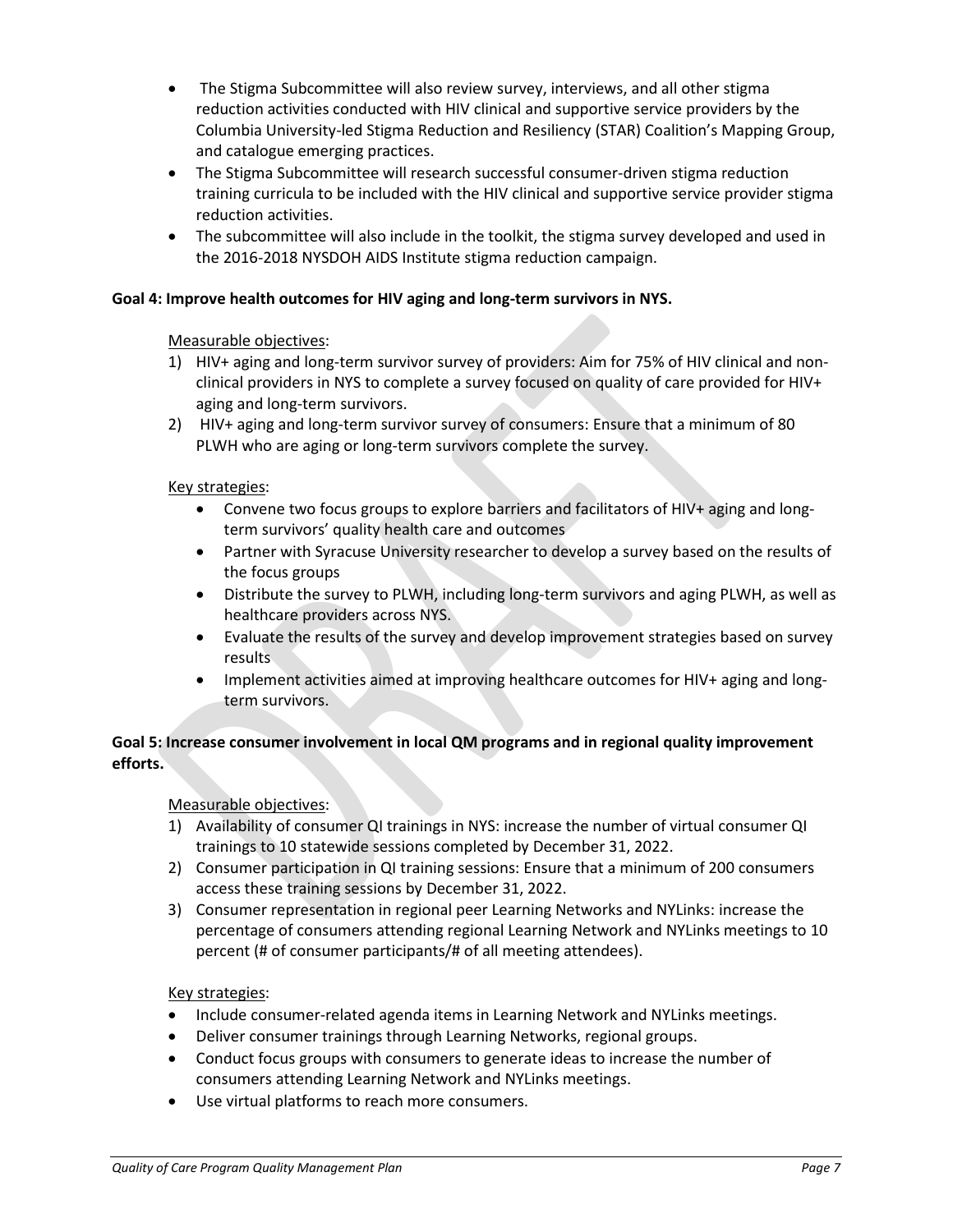- The Stigma Subcommittee will also review survey, interviews, and all other stigma reduction activities conducted with HIV clinical and supportive service providers by the Columbia University-led Stigma Reduction and Resiliency (STAR) Coalition's Mapping Group, and catalogue emerging practices.
- The Stigma Subcommittee will research successful consumer-driven stigma reduction training curricula to be included with the HIV clinical and supportive service provider stigma reduction activities.
- The subcommittee will also include in the toolkit, the stigma survey developed and used in the 2016-2018 NYSDOH AIDS Institute stigma reduction campaign.

#### **Goal 4: Improve health outcomes for HIV aging and long-term survivors in NYS.**

#### Measurable objectives:

- 1) HIV+ aging and long-term survivor survey of providers: Aim for 75% of HIV clinical and nonclinical providers in NYS to complete a survey focused on quality of care provided for HIV+ aging and long-term survivors.
- 2) HIV+ aging and long-term survivor survey of consumers: Ensure that a minimum of 80 PLWH who are aging or long-term survivors complete the survey.

#### Key strategies:

- Convene two focus groups to explore barriers and facilitators of HIV+ aging and longterm survivors' quality health care and outcomes
- Partner with Syracuse University researcher to develop a survey based on the results of the focus groups
- Distribute the survey to PLWH, including long-term survivors and aging PLWH, as well as healthcare providers across NYS.
- Evaluate the results of the survey and develop improvement strategies based on survey results
- Implement activities aimed at improving healthcare outcomes for HIV+ aging and longterm survivors.

#### **Goal 5: Increase consumer involvement in local QM programs and in regional quality improvement efforts.**

#### Measurable objectives:

- 1) Availability of consumer QI trainings in NYS: increase the number of virtual consumer QI trainings to 10 statewide sessions completed by December 31, 2022.
- 2) Consumer participation in QI training sessions: Ensure that a minimum of 200 consumers access these training sessions by December 31, 2022.
- 3) Consumer representation in regional peer Learning Networks and NYLinks: increase the percentage of consumers attending regional Learning Network and NYLinks meetings to 10 percent (# of consumer participants/# of all meeting attendees).

#### Key strategies:

- Include consumer-related agenda items in Learning Network and NYLinks meetings.
- Deliver consumer trainings through Learning Networks, regional groups.
- Conduct focus groups with consumers to generate ideas to increase the number of consumers attending Learning Network and NYLinks meetings.
- Use virtual platforms to reach more consumers.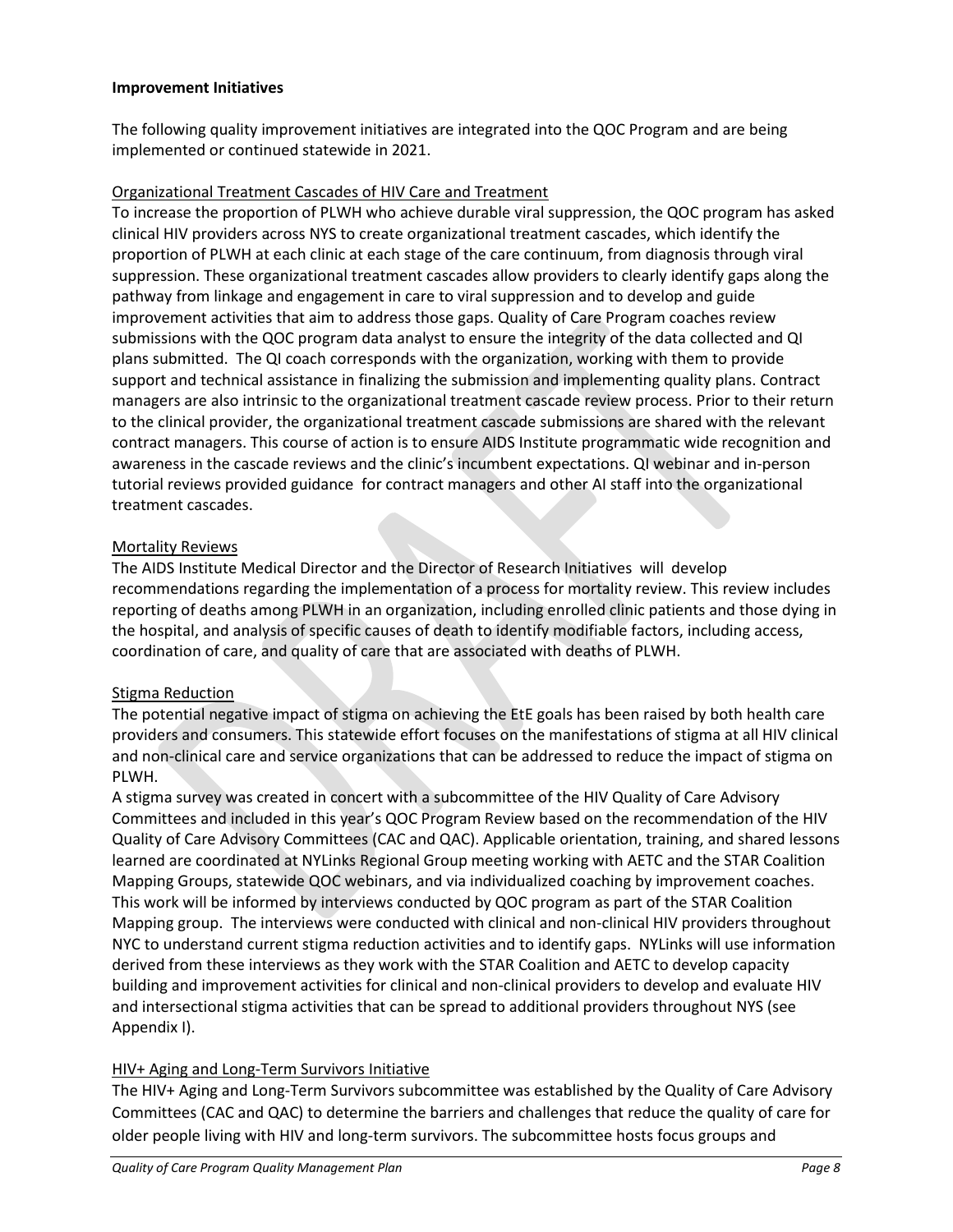#### **Improvement Initiatives**

The following quality improvement initiatives are integrated into the QOC Program and are being implemented or continued statewide in 2021.

#### Organizational Treatment Cascades of HIV Care and Treatment

To increase the proportion of PLWH who achieve durable viral suppression, the QOC program has asked clinical HIV providers across NYS to create organizational treatment cascades, which identify the proportion of PLWH at each clinic at each stage of the care continuum, from diagnosis through viral suppression. These organizational treatment cascades allow providers to clearly identify gaps along the pathway from linkage and engagement in care to viral suppression and to develop and guide improvement activities that aim to address those gaps. Quality of Care Program coaches review submissions with the QOC program data analyst to ensure the integrity of the data collected and QI plans submitted. The QI coach corresponds with the organization, working with them to provide support and technical assistance in finalizing the submission and implementing quality plans. Contract managers are also intrinsic to the organizational treatment cascade review process. Prior to their return to the clinical provider, the organizational treatment cascade submissions are shared with the relevant contract managers. This course of action is to ensure AIDS Institute programmatic wide recognition and awareness in the cascade reviews and the clinic's incumbent expectations. QI webinar and in-person tutorial reviews provided guidance for contract managers and other AI staff into the organizational treatment cascades.

#### Mortality Reviews

The AIDS Institute Medical Director and the Director of Research Initiatives will develop recommendations regarding the implementation of a process for mortality review. This review includes reporting of deaths among PLWH in an organization, including enrolled clinic patients and those dying in the hospital, and analysis of specific causes of death to identify modifiable factors, including access, coordination of care, and quality of care that are associated with deaths of PLWH.

#### Stigma Reduction

The potential negative impact of stigma on achieving the EtE goals has been raised by both health care providers and consumers. This statewide effort focuses on the manifestations of stigma at all HIV clinical and non-clinical care and service organizations that can be addressed to reduce the impact of stigma on PLWH.

A stigma survey was created in concert with a subcommittee of the HIV Quality of Care Advisory Committees and included in this year's QOC Program Review based on the recommendation of the HIV Quality of Care Advisory Committees (CAC and QAC). Applicable orientation, training, and shared lessons learned are coordinated at NYLinks Regional Group meeting working with AETC and the STAR Coalition Mapping Groups, statewide QOC webinars, and via individualized coaching by improvement coaches. This work will be informed by interviews conducted by QOC program as part of the STAR Coalition Mapping group. The interviews were conducted with clinical and non-clinical HIV providers throughout NYC to understand current stigma reduction activities and to identify gaps. NYLinks will use information derived from these interviews as they work with the STAR Coalition and AETC to develop capacity building and improvement activities for clinical and non-clinical providers to develop and evaluate HIV and intersectional stigma activities that can be spread to additional providers throughout NYS (see Appendix I).

#### HIV+ Aging and Long-Term Survivors Initiative

The HIV+ Aging and Long-Term Survivors subcommittee was established by the Quality of Care Advisory Committees (CAC and QAC) to determine the barriers and challenges that reduce the quality of care for older people living with HIV and long-term survivors. The subcommittee hosts focus groups and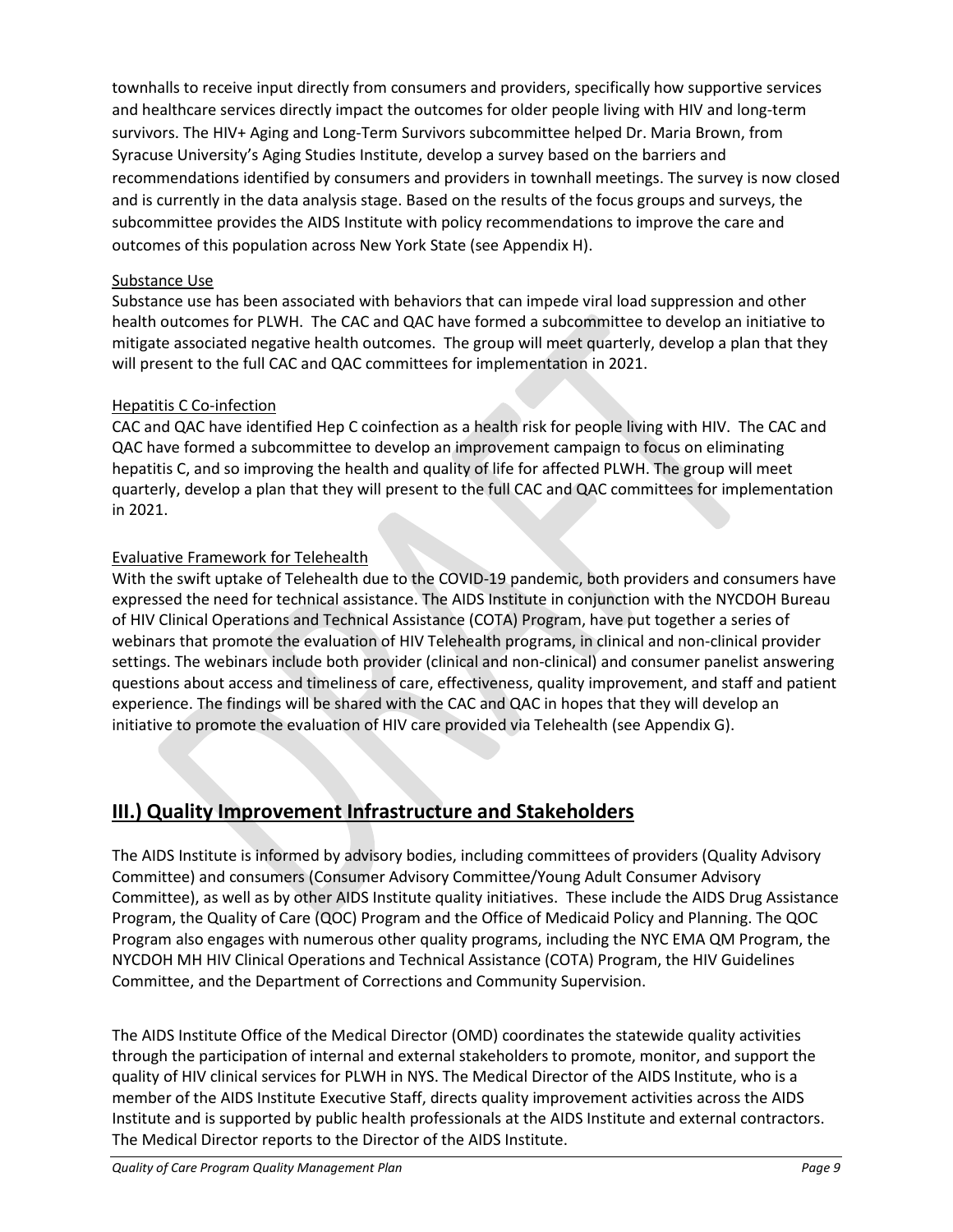townhalls to receive input directly from consumers and providers, specifically how supportive services and healthcare services directly impact the outcomes for older people living with HIV and long-term survivors. The HIV+ Aging and Long-Term Survivors subcommittee helped Dr. Maria Brown, from Syracuse University's Aging Studies Institute, develop a survey based on the barriers and recommendations identified by consumers and providers in townhall meetings. The survey is now closed and is currently in the data analysis stage. Based on the results of the focus groups and surveys, the subcommittee provides the AIDS Institute with policy recommendations to improve the care and outcomes of this population across New York State (see Appendix H).

#### Substance Use

Substance use has been associated with behaviors that can impede viral load suppression and other health outcomes for PLWH. The CAC and QAC have formed a subcommittee to develop an initiative to mitigate associated negative health outcomes. The group will meet quarterly, develop a plan that they will present to the full CAC and QAC committees for implementation in 2021.

#### Hepatitis C Co-infection

CAC and QAC have identified Hep C coinfection as a health risk for people living with HIV. The CAC and QAC have formed a subcommittee to develop an improvement campaign to focus on eliminating hepatitis C, and so improving the health and quality of life for affected PLWH. The group will meet quarterly, develop a plan that they will present to the full CAC and QAC committees for implementation in 2021.

#### Evaluative Framework for Telehealth

With the swift uptake of Telehealth due to the COVID-19 pandemic, both providers and consumers have expressed the need for technical assistance. The AIDS Institute in conjunction with the NYCDOH Bureau of HIV Clinical Operations and Technical Assistance (COTA) Program, have put together a series of webinars that promote the evaluation of HIV Telehealth programs, in clinical and non-clinical provider settings. The webinars include both provider (clinical and non-clinical) and consumer panelist answering questions about access and timeliness of care, effectiveness, quality improvement, and staff and patient experience. The findings will be shared with the CAC and QAC in hopes that they will develop an initiative to promote the evaluation of HIV care provided via Telehealth (see Appendix G).

## **III.) Quality Improvement Infrastructure and Stakeholders**

The AIDS Institute is informed by advisory bodies, including committees of providers (Quality Advisory Committee) and consumers (Consumer Advisory Committee/Young Adult Consumer Advisory Committee), as well as by other AIDS Institute quality initiatives. These include the AIDS Drug Assistance Program, the Quality of Care (QOC) Program and the Office of Medicaid Policy and Planning. The QOC Program also engages with numerous other quality programs, including the NYC EMA QM Program, the NYCDOH MH HIV Clinical Operations and Technical Assistance (COTA) Program, the HIV Guidelines Committee, and the Department of Corrections and Community Supervision.

The AIDS Institute Office of the Medical Director (OMD) coordinates the statewide quality activities through the participation of internal and external stakeholders to promote, monitor, and support the quality of HIV clinical services for PLWH in NYS. The Medical Director of the AIDS Institute, who is a member of the AIDS Institute Executive Staff, directs quality improvement activities across the AIDS Institute and is supported by public health professionals at the AIDS Institute and external contractors. The Medical Director reports to the Director of the AIDS Institute.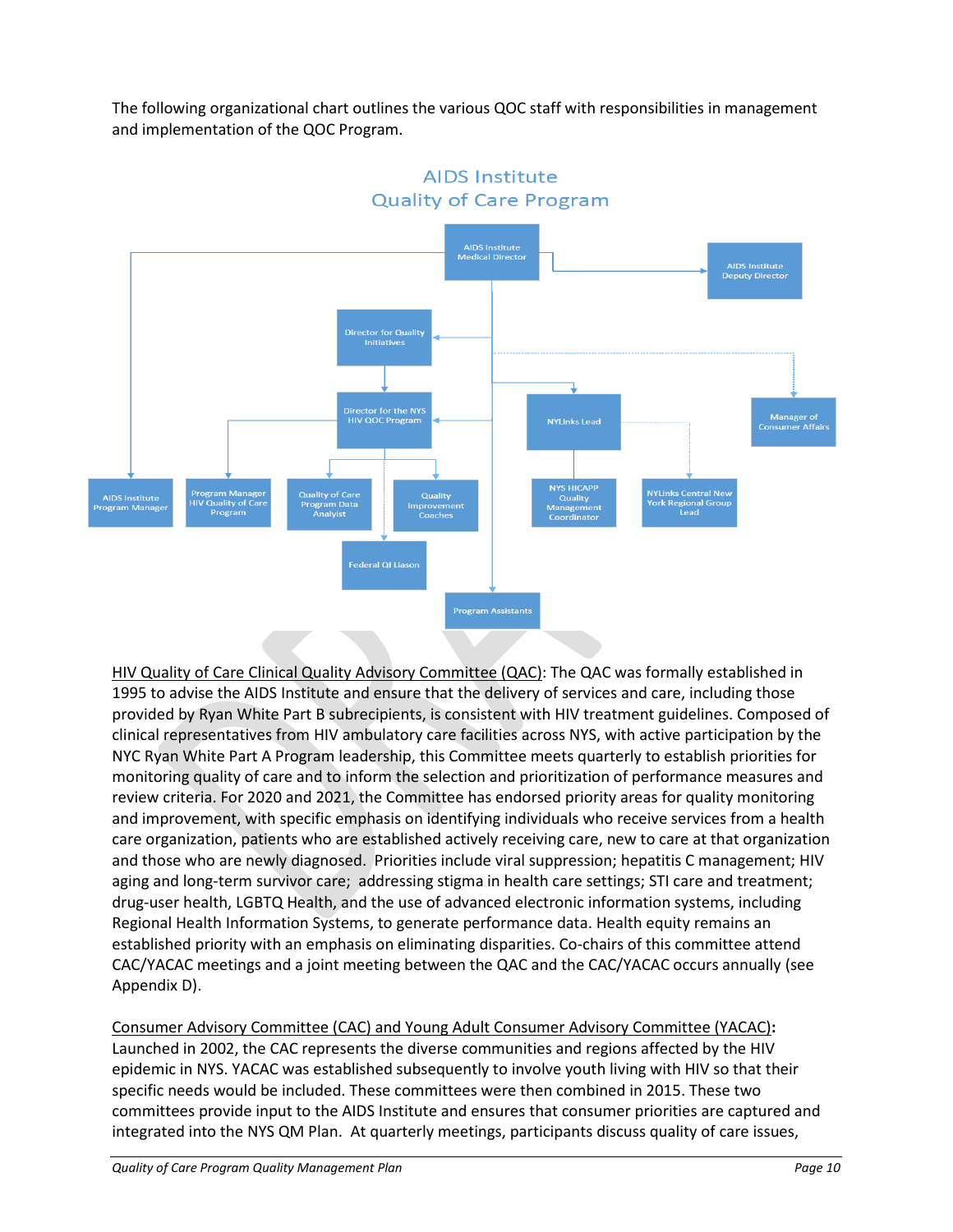The following organizational chart outlines the various QOC staff with responsibilities in management and implementation of the QOC Program.



**AIDS Institute Quality of Care Program** 

HIV Quality of Care Clinical Quality Advisory Committee (QAC): The QAC was formally established in 1995 to advise the AIDS Institute and ensure that the delivery of services and care, including those provided by Ryan White Part B subrecipients, is consistent with HIV treatment guidelines. Composed of clinical representatives from HIV ambulatory care facilities across NYS, with active participation by the NYC Ryan White Part A Program leadership, this Committee meets quarterly to establish priorities for monitoring quality of care and to inform the selection and prioritization of performance measures and review criteria. For 2020 and 2021, the Committee has endorsed priority areas for quality monitoring and improvement, with specific emphasis on identifying individuals who receive services from a health care organization, patients who are established actively receiving care, new to care at that organization and those who are newly diagnosed. Priorities include viral suppression; hepatitis C management; HIV aging and long-term survivor care; addressing stigma in health care settings; STI care and treatment; drug-user health, LGBTQ Health, and the use of advanced electronic information systems, including Regional Health Information Systems, to generate performance data. Health equity remains an established priority with an emphasis on eliminating disparities. Co-chairs of this committee attend CAC/YACAC meetings and a joint meeting between the QAC and the CAC/YACAC occurs annually (see Appendix D).

Consumer Advisory Committee (CAC) and Young Adult Consumer Advisory Committee (YACAC)**:** Launched in 2002, the CAC represents the diverse communities and regions affected by the HIV epidemic in NYS. YACAC was established subsequently to involve youth living with HIV so that their specific needs would be included. These committees were then combined in 2015. These two committees provide input to the AIDS Institute and ensures that consumer priorities are captured and integrated into the NYS QM Plan. At quarterly meetings, participants discuss quality of care issues,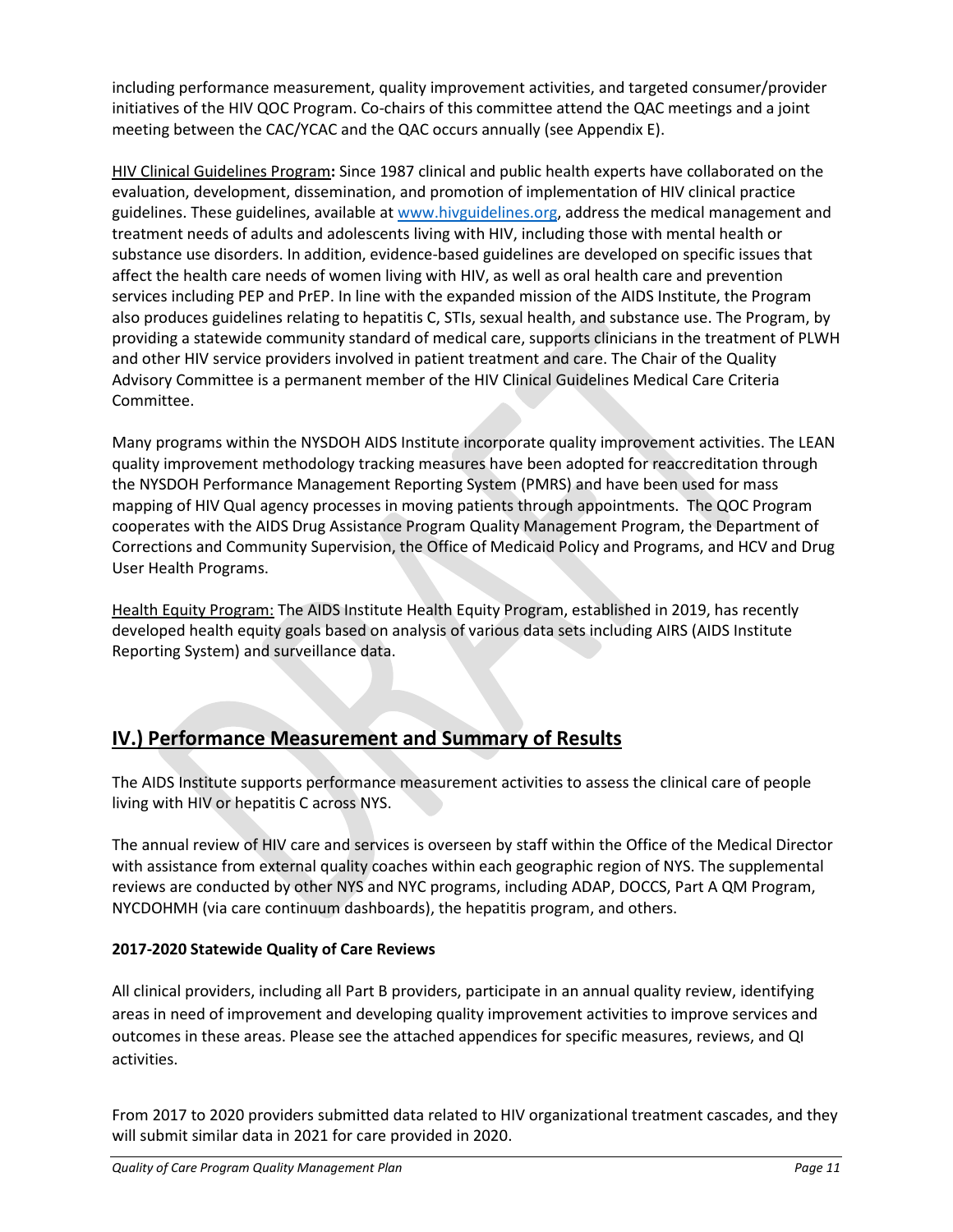including performance measurement, quality improvement activities, and targeted consumer/provider initiatives of the HIV QOC Program. Co-chairs of this committee attend the QAC meetings and a joint meeting between the CAC/YCAC and the QAC occurs annually (see Appendix E).

HIV Clinical Guidelines Program**:** Since 1987 clinical and public health experts have collaborated on the evaluation, development, dissemination, and promotion of implementation of HIV clinical practice guidelines. These guidelines, available a[t www.hivguidelines.org,](http://www.hivguidelines.org/) address the medical management and treatment needs of adults and adolescents living with HIV, including those with mental health or substance use disorders. In addition, evidence-based guidelines are developed on specific issues that affect the health care needs of women living with HIV, as well as oral health care and prevention services including PEP and PrEP. In line with the expanded mission of the AIDS Institute, the Program also produces guidelines relating to hepatitis C, STIs, sexual health, and substance use. The Program, by providing a statewide community standard of medical care, supports clinicians in the treatment of PLWH and other HIV service providers involved in patient treatment and care. The Chair of the Quality Advisory Committee is a permanent member of the HIV Clinical Guidelines Medical Care Criteria Committee.

Many programs within the NYSDOH AIDS Institute incorporate quality improvement activities. The LEAN quality improvement methodology tracking measures have been adopted for reaccreditation through the NYSDOH Performance Management Reporting System (PMRS) and have been used for mass mapping of HIV Qual agency processes in moving patients through appointments. The QOC Program cooperates with the AIDS Drug Assistance Program Quality Management Program, the Department of Corrections and Community Supervision, the Office of Medicaid Policy and Programs, and HCV and Drug User Health Programs.

Health Equity Program: The AIDS Institute Health Equity Program, established in 2019, has recently developed health equity goals based on analysis of various data sets including AIRS (AIDS Institute Reporting System) and surveillance data.

# **IV.) Performance Measurement and Summary of Results**

The AIDS Institute supports performance measurement activities to assess the clinical care of people living with HIV or hepatitis C across NYS.

The annual review of HIV care and services is overseen by staff within the Office of the Medical Director with assistance from external quality coaches within each geographic region of NYS. The supplemental reviews are conducted by other NYS and NYC programs, including ADAP, DOCCS, Part A QM Program, NYCDOHMH (via care continuum dashboards), the hepatitis program, and others.

#### **2017-2020 Statewide Quality of Care Reviews**

All clinical providers, including all Part B providers, participate in an annual quality review, identifying areas in need of improvement and developing quality improvement activities to improve services and outcomes in these areas. Please see the attached appendices for specific measures, reviews, and QI activities.

From 2017 to 2020 providers submitted data related to HIV organizational treatment cascades, and they will submit similar data in 2021 for care provided in 2020.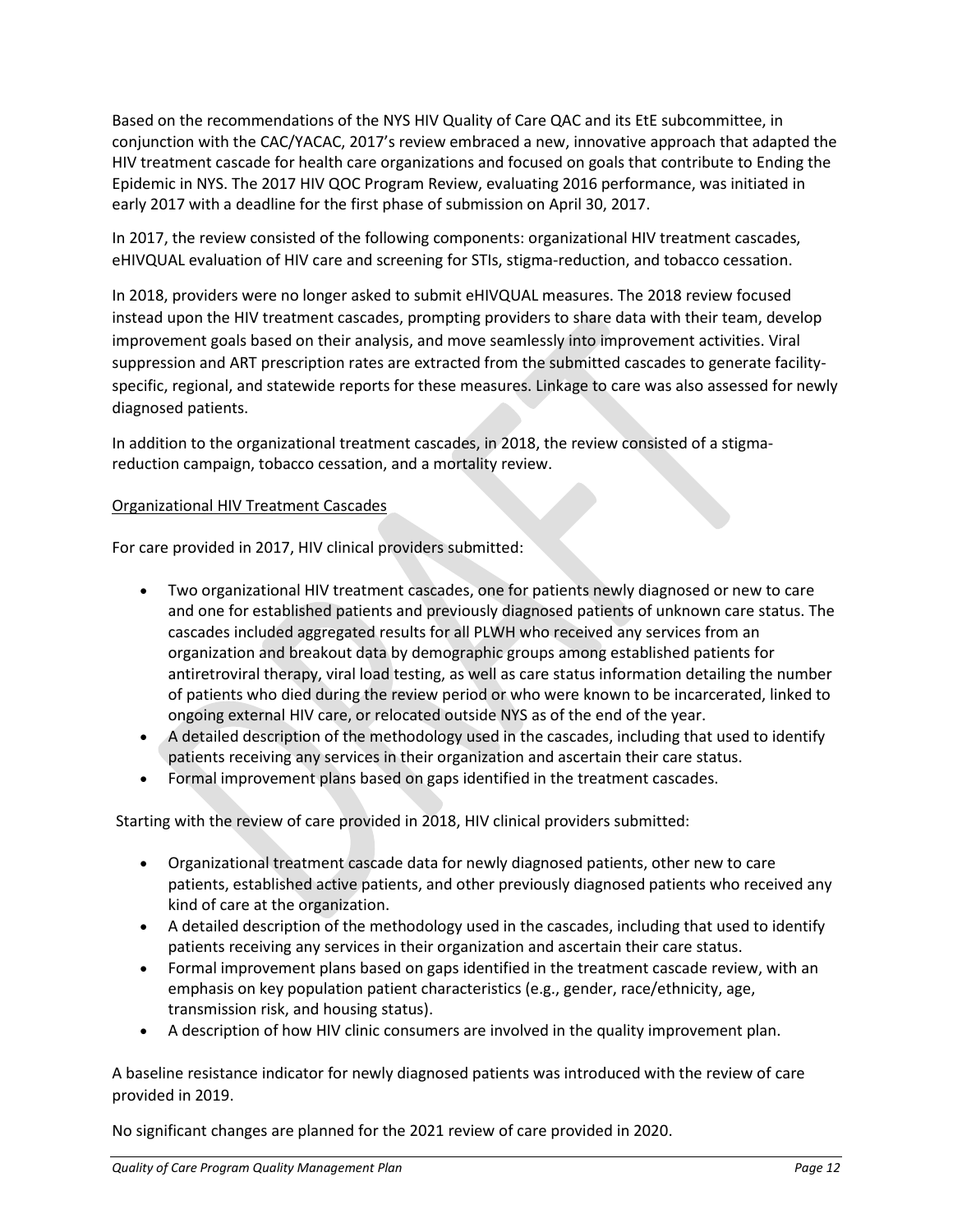Based on the recommendations of the NYS HIV Quality of Care QAC and its EtE subcommittee, in conjunction with the CAC/YACAC, 2017's review embraced a new, innovative approach that adapted the HIV treatment cascade for health care organizations and focused on goals that contribute to Ending the Epidemic in NYS. The 2017 HIV QOC Program Review, evaluating 2016 performance, was initiated in early 2017 with a deadline for the first phase of submission on April 30, 2017.

In 2017, the review consisted of the following components: organizational HIV treatment cascades, eHIVQUAL evaluation of HIV care and screening for STIs, stigma-reduction, and tobacco cessation.

In 2018, providers were no longer asked to submit eHIVQUAL measures. The 2018 review focused instead upon the HIV treatment cascades, prompting providers to share data with their team, develop improvement goals based on their analysis, and move seamlessly into improvement activities. Viral suppression and ART prescription rates are extracted from the submitted cascades to generate facilityspecific, regional, and statewide reports for these measures. Linkage to care was also assessed for newly diagnosed patients.

In addition to the organizational treatment cascades, in 2018, the review consisted of a stigmareduction campaign, tobacco cessation, and a mortality review.

#### Organizational HIV Treatment Cascades

For care provided in 2017, HIV clinical providers submitted:

- Two organizational HIV treatment cascades, one for patients newly diagnosed or new to care and one for established patients and previously diagnosed patients of unknown care status. The cascades included aggregated results for all PLWH who received any services from an organization and breakout data by demographic groups among established patients for antiretroviral therapy, viral load testing, as well as care status information detailing the number of patients who died during the review period or who were known to be incarcerated, linked to ongoing external HIV care, or relocated outside NYS as of the end of the year.
- A detailed description of the methodology used in the cascades, including that used to identify patients receiving any services in their organization and ascertain their care status.
- Formal improvement plans based on gaps identified in the treatment cascades.

Starting with the review of care provided in 2018, HIV clinical providers submitted:

- Organizational treatment cascade data for newly diagnosed patients, other new to care patients, established active patients, and other previously diagnosed patients who received any kind of care at the organization.
- A detailed description of the methodology used in the cascades, including that used to identify patients receiving any services in their organization and ascertain their care status.
- Formal improvement plans based on gaps identified in the treatment cascade review, with an emphasis on key population patient characteristics (e.g., gender, race/ethnicity, age, transmission risk, and housing status).
- A description of how HIV clinic consumers are involved in the quality improvement plan.

A baseline resistance indicator for newly diagnosed patients was introduced with the review of care provided in 2019.

No significant changes are planned for the 2021 review of care provided in 2020.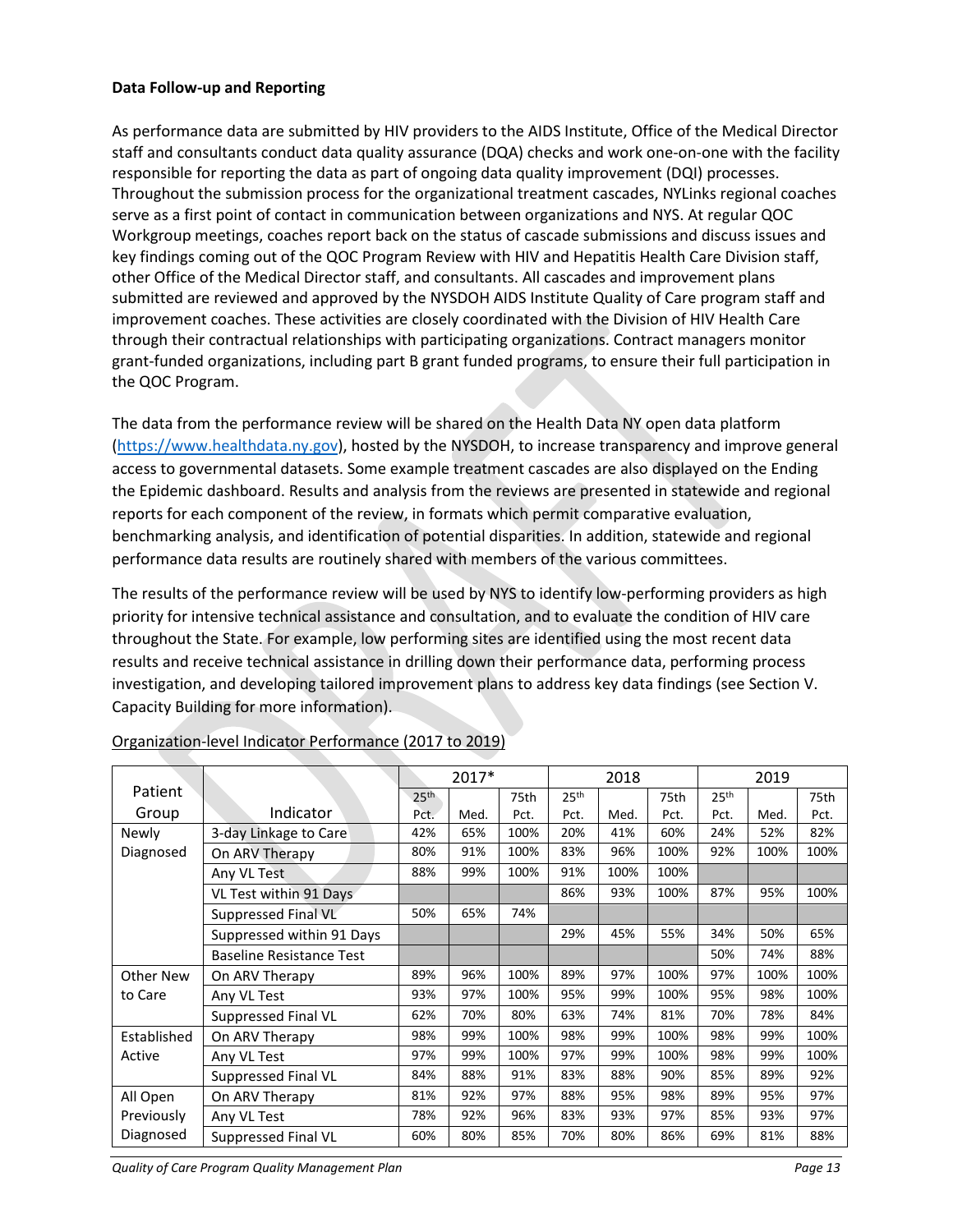#### **Data Follow-up and Reporting**

As performance data are submitted by HIV providers to the AIDS Institute, Office of the Medical Director staff and consultants conduct data quality assurance (DQA) checks and work one-on-one with the facility responsible for reporting the data as part of ongoing data quality improvement (DQI) processes. Throughout the submission process for the organizational treatment cascades, NYLinks regional coaches serve as a first point of contact in communication between organizations and NYS. At regular QOC Workgroup meetings, coaches report back on the status of cascade submissions and discuss issues and key findings coming out of the QOC Program Review with HIV and Hepatitis Health Care Division staff, other Office of the Medical Director staff, and consultants. All cascades and improvement plans submitted are reviewed and approved by the NYSDOH AIDS Institute Quality of Care program staff and improvement coaches. These activities are closely coordinated with the Division of HIV Health Care through their contractual relationships with participating organizations. Contract managers monitor grant-funded organizations, including part B grant funded programs, to ensure their full participation in the QOC Program.

The data from the performance review will be shared on the Health Data NY open data platform [\(https://www.healthdata.ny.gov\)](https://www.healthdata.ny.gov/), hosted by the NYSDOH, to increase transparency and improve general access to governmental datasets. Some example treatment cascades are also displayed on the Ending the Epidemic dashboard. Results and analysis from the reviews are presented in statewide and regional reports for each component of the review, in formats which permit comparative evaluation, benchmarking analysis, and identification of potential disparities. In addition, statewide and regional performance data results are routinely shared with members of the various committees.

The results of the performance review will be used by NYS to identify low-performing providers as high priority for intensive technical assistance and consultation, and to evaluate the condition of HIV care throughout the State. For example, low performing sites are identified using the most recent data results and receive technical assistance in drilling down their performance data, performing process investigation, and developing tailored improvement plans to address key data findings (see Section V. Capacity Building for more information).

|                        |                                 | 2017*            |      | 2018 |                  |      | 2019 |                  |      |      |
|------------------------|---------------------------------|------------------|------|------|------------------|------|------|------------------|------|------|
| Patient                |                                 | 25 <sup>th</sup> |      | 75th | 25 <sup>th</sup> |      | 75th | 25 <sup>th</sup> |      | 75th |
| Group                  | Indicator                       | Pct.             | Med. | Pct. | Pct.             | Med. | Pct. | Pct.             | Med. | Pct. |
| Newly                  | 3-day Linkage to Care           | 42%              | 65%  | 100% | 20%              | 41%  | 60%  | 24%              | 52%  | 82%  |
| Diagnosed              | On ARV Therapy                  | 80%              | 91%  | 100% | 83%              | 96%  | 100% | 92%              | 100% | 100% |
|                        | Any VL Test                     | 88%              | 99%  | 100% | 91%              | 100% | 100% |                  |      |      |
|                        | VL Test within 91 Days          |                  |      |      | 86%              | 93%  | 100% | 87%              | 95%  | 100% |
|                        | Suppressed Final VL             | 50%              | 65%  | 74%  |                  |      |      |                  |      |      |
|                        | Suppressed within 91 Days       |                  |      |      | 29%              | 45%  | 55%  | 34%              | 50%  | 65%  |
|                        | <b>Baseline Resistance Test</b> |                  |      |      |                  |      |      | 50%              | 74%  | 88%  |
| Other New              | On ARV Therapy                  | 89%              | 96%  | 100% | 89%              | 97%  | 100% | 97%              | 100% | 100% |
| to Care                | Any VL Test                     | 93%              | 97%  | 100% | 95%              | 99%  | 100% | 95%              | 98%  | 100% |
|                        | Suppressed Final VL             | 62%              | 70%  | 80%  | 63%              | 74%  | 81%  | 70%              | 78%  | 84%  |
| Established            | On ARV Therapy                  | 98%              | 99%  | 100% | 98%              | 99%  | 100% | 98%              | 99%  | 100% |
| Active                 | Any VL Test                     | 97%              | 99%  | 100% | 97%              | 99%  | 100% | 98%              | 99%  | 100% |
|                        | Suppressed Final VL             | 84%              | 88%  | 91%  | 83%              | 88%  | 90%  | 85%              | 89%  | 92%  |
| All Open<br>Previously | On ARV Therapy                  | 81%              | 92%  | 97%  | 88%              | 95%  | 98%  | 89%              | 95%  | 97%  |
|                        | Any VL Test                     | 78%              | 92%  | 96%  | 83%              | 93%  | 97%  | 85%              | 93%  | 97%  |
| Diagnosed              | Suppressed Final VL             | 60%              | 80%  | 85%  | 70%              | 80%  | 86%  | 69%              | 81%  | 88%  |

#### Organization-level Indicator Performance (2017 to 2019)

*Quality of Care Program Quality Management Plan* Page 13 and Page 13 and Page 13 and Page 13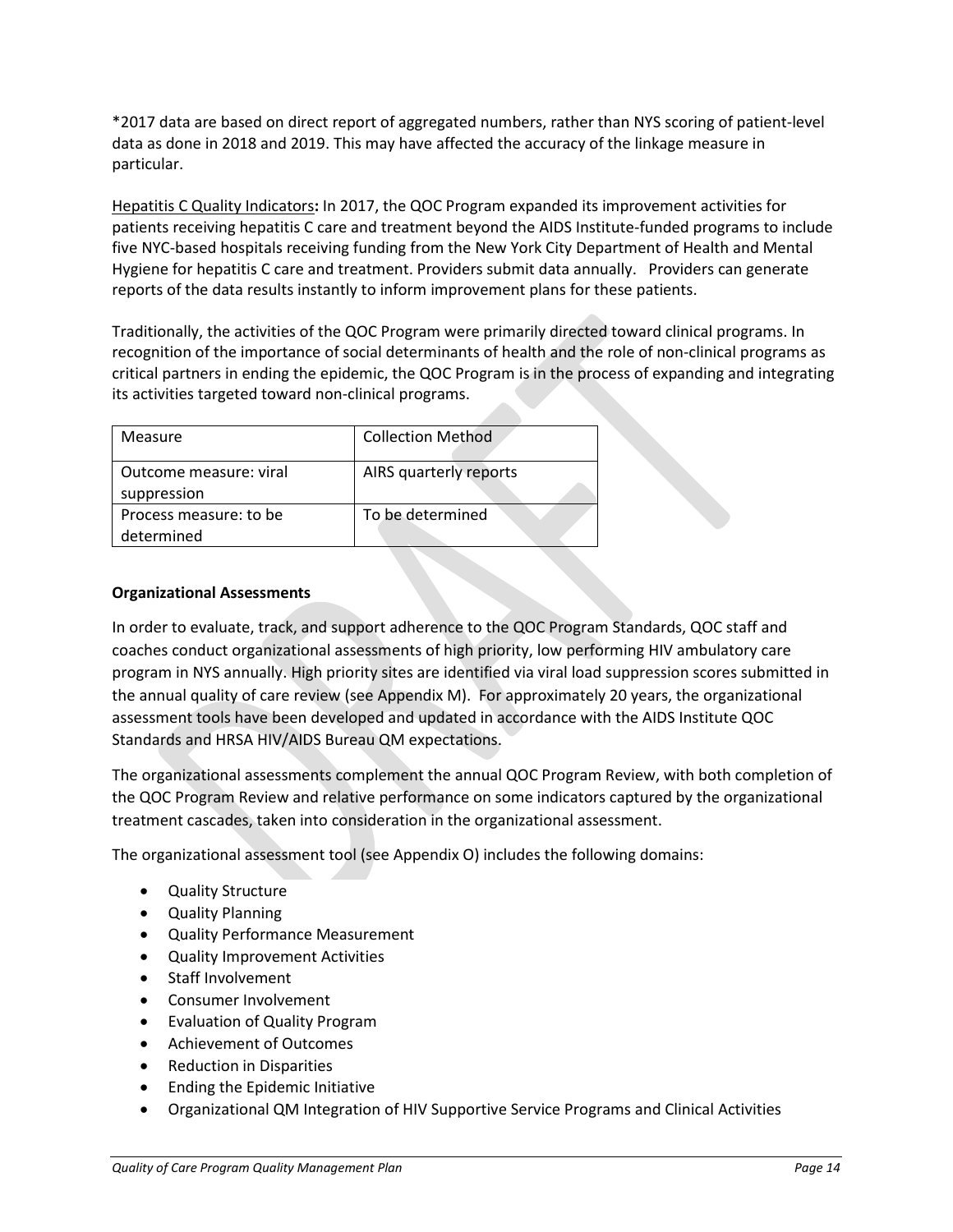\*2017 data are based on direct report of aggregated numbers, rather than NYS scoring of patient-level data as done in 2018 and 2019. This may have affected the accuracy of the linkage measure in particular.

Hepatitis C Quality Indicators**:** In 2017, the QOC Program expanded its improvement activities for patients receiving hepatitis C care and treatment beyond the AIDS Institute-funded programs to include five NYC-based hospitals receiving funding from the New York City Department of Health and Mental Hygiene for hepatitis C care and treatment. Providers submit data annually. Providers can generate reports of the data results instantly to inform improvement plans for these patients.

Traditionally, the activities of the QOC Program were primarily directed toward clinical programs. In recognition of the importance of social determinants of health and the role of non-clinical programs as critical partners in ending the epidemic, the QOC Program is in the process of expanding and integrating its activities targeted toward non-clinical programs.

| Measure                               | <b>Collection Method</b> |
|---------------------------------------|--------------------------|
| Outcome measure: viral<br>suppression | AIRS quarterly reports   |
| Process measure: to be<br>determined  | To be determined         |

#### **Organizational Assessments**

In order to evaluate, track, and support adherence to the QOC Program Standards, QOC staff and coaches conduct organizational assessments of high priority, low performing HIV ambulatory care program in NYS annually. High priority sites are identified via viral load suppression scores submitted in the annual quality of care review (see Appendix M). For approximately 20 years, the organizational assessment tools have been developed and updated in accordance with the AIDS Institute QOC Standards and HRSA HIV/AIDS Bureau QM expectations.

The organizational assessments complement the annual QOC Program Review, with both completion of the QOC Program Review and relative performance on some indicators captured by the organizational treatment cascades, taken into consideration in the organizational assessment.

The organizational assessment tool (see Appendix O) includes the following domains:

- Quality Structure
- Quality Planning
- Quality Performance Measurement
- Quality Improvement Activities
- Staff Involvement
- Consumer Involvement
- Evaluation of Quality Program
- Achievement of Outcomes
- Reduction in Disparities
- Ending the Epidemic Initiative
- Organizational QM Integration of HIV Supportive Service Programs and Clinical Activities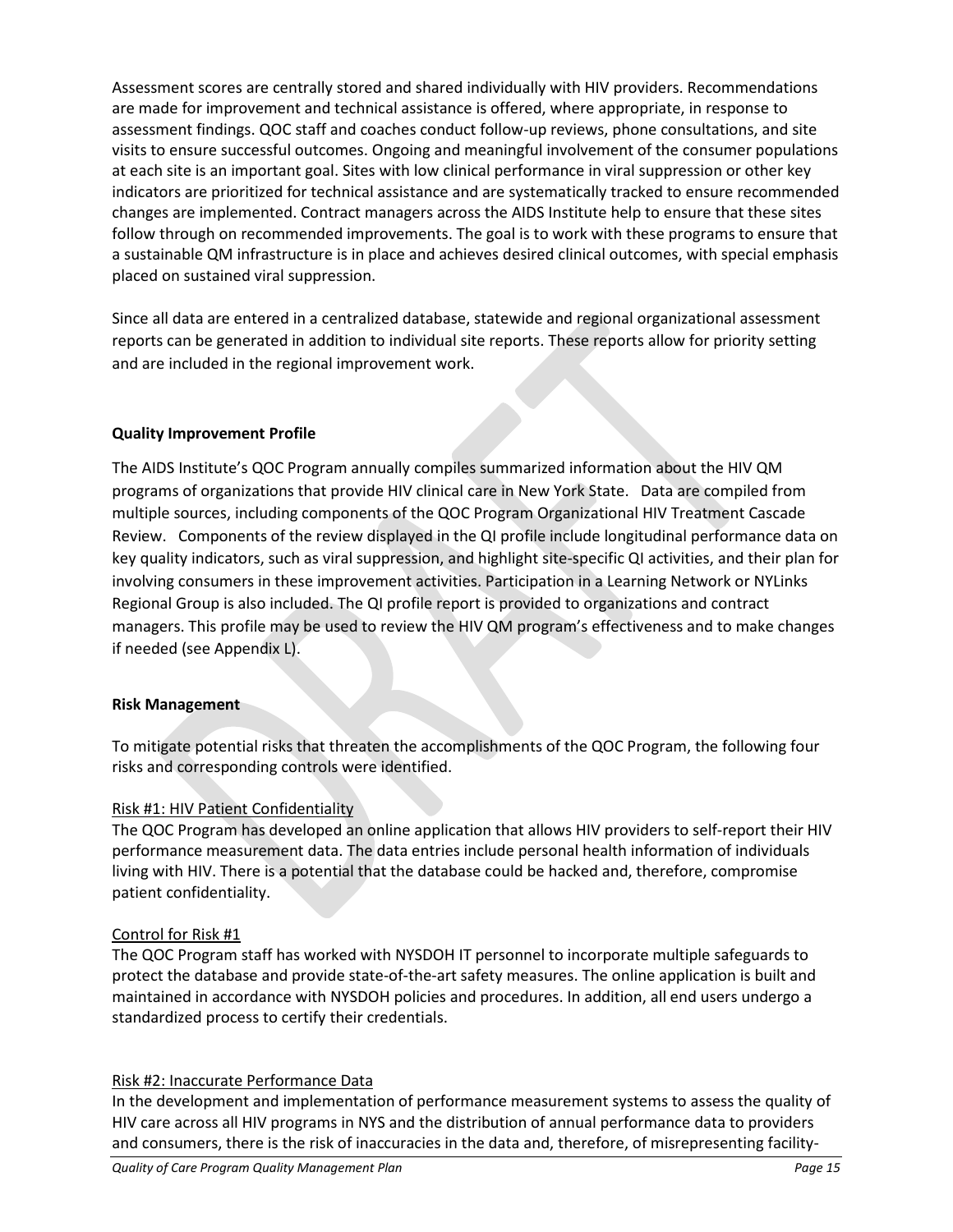Assessment scores are centrally stored and shared individually with HIV providers. Recommendations are made for improvement and technical assistance is offered, where appropriate, in response to assessment findings. QOC staff and coaches conduct follow-up reviews, phone consultations, and site visits to ensure successful outcomes. Ongoing and meaningful involvement of the consumer populations at each site is an important goal. Sites with low clinical performance in viral suppression or other key indicators are prioritized for technical assistance and are systematically tracked to ensure recommended changes are implemented. Contract managers across the AIDS Institute help to ensure that these sites follow through on recommended improvements. The goal is to work with these programs to ensure that a sustainable QM infrastructure is in place and achieves desired clinical outcomes, with special emphasis placed on sustained viral suppression.

Since all data are entered in a centralized database, statewide and regional organizational assessment reports can be generated in addition to individual site reports. These reports allow for priority setting and are included in the regional improvement work.

#### **Quality Improvement Profile**

The AIDS Institute's QOC Program annually compiles summarized information about the HIV QM programs of organizations that provide HIV clinical care in New York State. Data are compiled from multiple sources, including components of the QOC Program Organizational HIV Treatment Cascade Review. Components of the review displayed in the QI profile include longitudinal performance data on key quality indicators, such as viral suppression, and highlight site-specific QI activities, and their plan for involving consumers in these improvement activities. Participation in a Learning Network or NYLinks Regional Group is also included. The QI profile report is provided to organizations and contract managers. This profile may be used to review the HIV QM program's effectiveness and to make changes if needed (see Appendix L).

#### **Risk Management**

To mitigate potential risks that threaten the accomplishments of the QOC Program, the following four risks and corresponding controls were identified.

#### Risk #1: HIV Patient Confidentiality

The QOC Program has developed an online application that allows HIV providers to self-report their HIV performance measurement data. The data entries include personal health information of individuals living with HIV. There is a potential that the database could be hacked and, therefore, compromise patient confidentiality.

#### Control for Risk #1

The QOC Program staff has worked with NYSDOH IT personnel to incorporate multiple safeguards to protect the database and provide state-of-the-art safety measures. The online application is built and maintained in accordance with NYSDOH policies and procedures. In addition, all end users undergo a standardized process to certify their credentials.

#### Risk #2: Inaccurate Performance Data

In the development and implementation of performance measurement systems to assess the quality of HIV care across all HIV programs in NYS and the distribution of annual performance data to providers and consumers, there is the risk of inaccuracies in the data and, therefore, of misrepresenting facility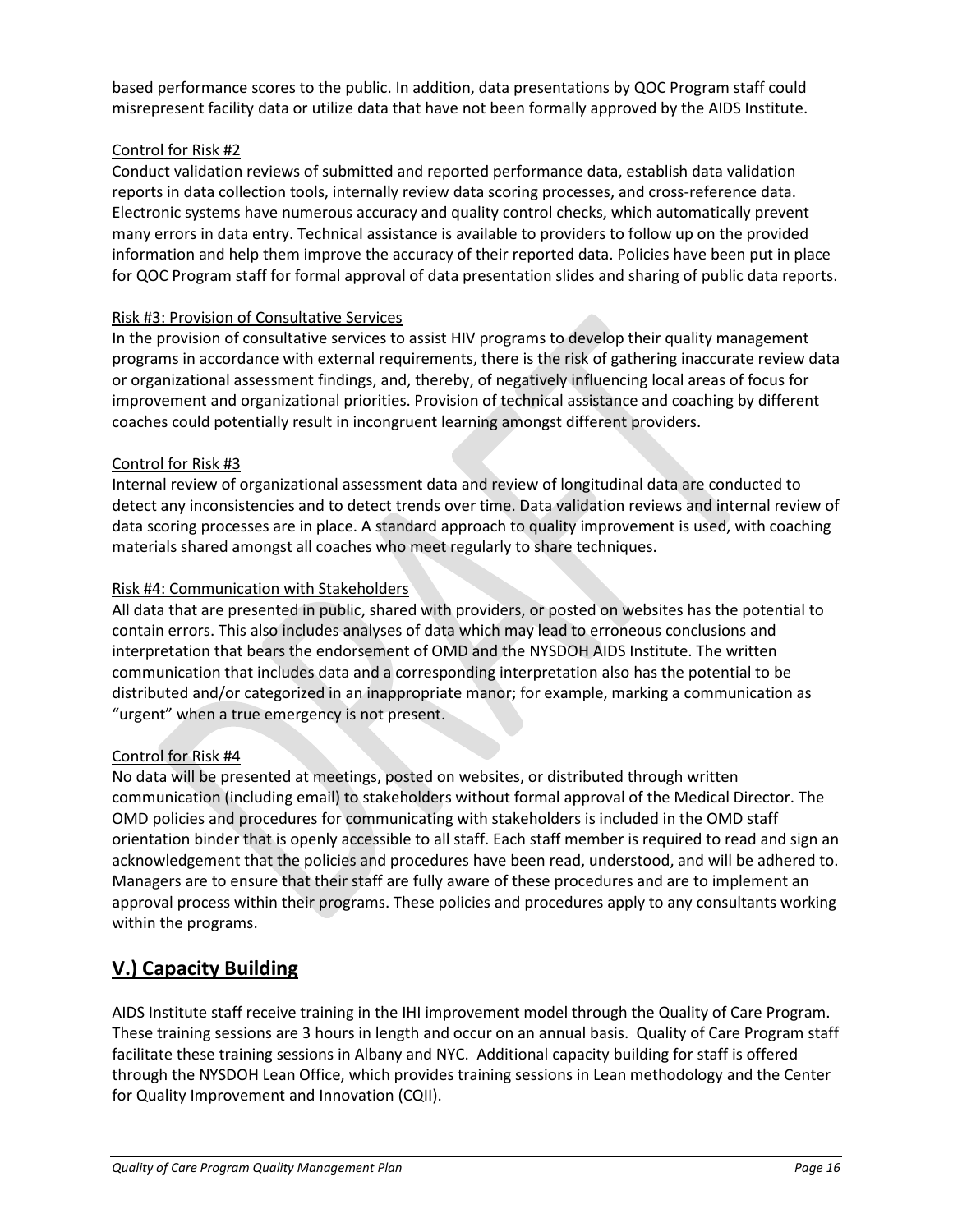based performance scores to the public. In addition, data presentations by QOC Program staff could misrepresent facility data or utilize data that have not been formally approved by the AIDS Institute.

#### Control for Risk #2

Conduct validation reviews of submitted and reported performance data, establish data validation reports in data collection tools, internally review data scoring processes, and cross-reference data. Electronic systems have numerous accuracy and quality control checks, which automatically prevent many errors in data entry. Technical assistance is available to providers to follow up on the provided information and help them improve the accuracy of their reported data. Policies have been put in place for QOC Program staff for formal approval of data presentation slides and sharing of public data reports.

#### Risk #3: Provision of Consultative Services

In the provision of consultative services to assist HIV programs to develop their quality management programs in accordance with external requirements, there is the risk of gathering inaccurate review data or organizational assessment findings, and, thereby, of negatively influencing local areas of focus for improvement and organizational priorities. Provision of technical assistance and coaching by different coaches could potentially result in incongruent learning amongst different providers.

#### Control for Risk #3

Internal review of organizational assessment data and review of longitudinal data are conducted to detect any inconsistencies and to detect trends over time. Data validation reviews and internal review of data scoring processes are in place. A standard approach to quality improvement is used, with coaching materials shared amongst all coaches who meet regularly to share techniques.

#### Risk #4: Communication with Stakeholders

All data that are presented in public, shared with providers, or posted on websites has the potential to contain errors. This also includes analyses of data which may lead to erroneous conclusions and interpretation that bears the endorsement of OMD and the NYSDOH AIDS Institute. The written communication that includes data and a corresponding interpretation also has the potential to be distributed and/or categorized in an inappropriate manor; for example, marking a communication as "urgent" when a true emergency is not present.

#### Control for Risk #4

No data will be presented at meetings, posted on websites, or distributed through written communication (including email) to stakeholders without formal approval of the Medical Director. The OMD policies and procedures for communicating with stakeholders is included in the OMD staff orientation binder that is openly accessible to all staff. Each staff member is required to read and sign an acknowledgement that the policies and procedures have been read, understood, and will be adhered to. Managers are to ensure that their staff are fully aware of these procedures and are to implement an approval process within their programs. These policies and procedures apply to any consultants working within the programs.

# **V.) Capacity Building**

AIDS Institute staff receive training in the IHI improvement model through the Quality of Care Program. These training sessions are 3 hours in length and occur on an annual basis. Quality of Care Program staff facilitate these training sessions in Albany and NYC. Additional capacity building for staff is offered through the NYSDOH Lean Office, which provides training sessions in Lean methodology and the Center for Quality Improvement and Innovation (CQII).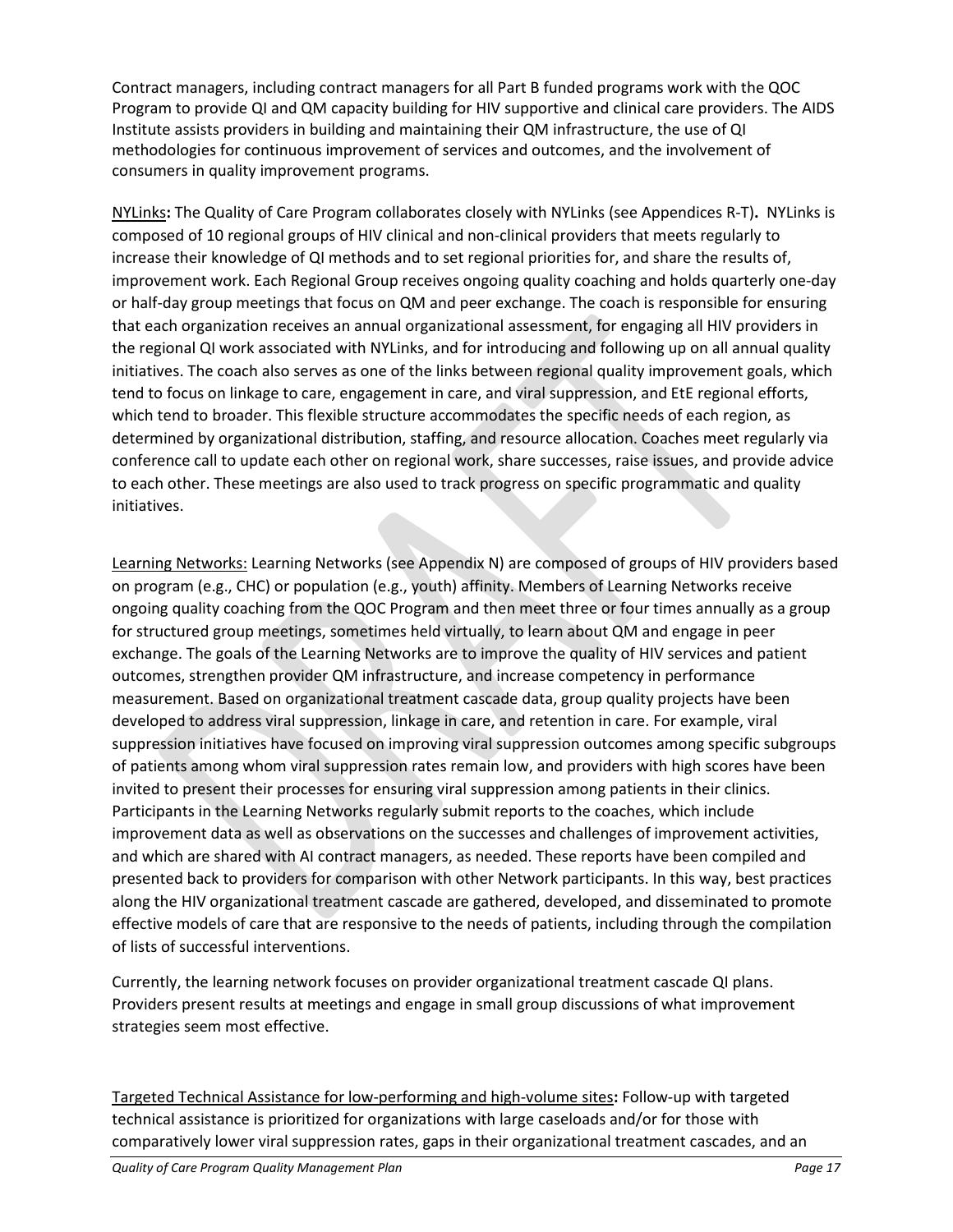Contract managers, including contract managers for all Part B funded programs work with the QOC Program to provide QI and QM capacity building for HIV supportive and clinical care providers. The AIDS Institute assists providers in building and maintaining their QM infrastructure, the use of QI methodologies for continuous improvement of services and outcomes, and the involvement of consumers in quality improvement programs.

NYLinks**:** The Quality of Care Program collaborates closely with NYLinks (see Appendices R-T)**.** NYLinks is composed of 10 regional groups of HIV clinical and non-clinical providers that meets regularly to increase their knowledge of QI methods and to set regional priorities for, and share the results of, improvement work. Each Regional Group receives ongoing quality coaching and holds quarterly one-day or half-day group meetings that focus on QM and peer exchange. The coach is responsible for ensuring that each organization receives an annual organizational assessment, for engaging all HIV providers in the regional QI work associated with NYLinks, and for introducing and following up on all annual quality initiatives. The coach also serves as one of the links between regional quality improvement goals, which tend to focus on linkage to care, engagement in care, and viral suppression, and EtE regional efforts, which tend to broader. This flexible structure accommodates the specific needs of each region, as determined by organizational distribution, staffing, and resource allocation. Coaches meet regularly via conference call to update each other on regional work, share successes, raise issues, and provide advice to each other. These meetings are also used to track progress on specific programmatic and quality initiatives.

Learning Networks: Learning Networks (see Appendix N) are composed of groups of HIV providers based on program (e.g., CHC) or population (e.g., youth) affinity. Members of Learning Networks receive ongoing quality coaching from the QOC Program and then meet three or four times annually as a group for structured group meetings, sometimes held virtually, to learn about QM and engage in peer exchange. The goals of the Learning Networks are to improve the quality of HIV services and patient outcomes, strengthen provider QM infrastructure, and increase competency in performance measurement. Based on organizational treatment cascade data, group quality projects have been developed to address viral suppression, linkage in care, and retention in care. For example, viral suppression initiatives have focused on improving viral suppression outcomes among specific subgroups of patients among whom viral suppression rates remain low, and providers with high scores have been invited to present their processes for ensuring viral suppression among patients in their clinics. Participants in the Learning Networks regularly submit reports to the coaches, which include improvement data as well as observations on the successes and challenges of improvement activities, and which are shared with AI contract managers, as needed. These reports have been compiled and presented back to providers for comparison with other Network participants. In this way, best practices along the HIV organizational treatment cascade are gathered, developed, and disseminated to promote effective models of care that are responsive to the needs of patients, including through the compilation of lists of successful interventions.

Currently, the learning network focuses on provider organizational treatment cascade QI plans. Providers present results at meetings and engage in small group discussions of what improvement strategies seem most effective.

Targeted Technical Assistance for low-performing and high-volume sites**:** Follow-up with targeted technical assistance is prioritized for organizations with large caseloads and/or for those with comparatively lower viral suppression rates, gaps in their organizational treatment cascades, and an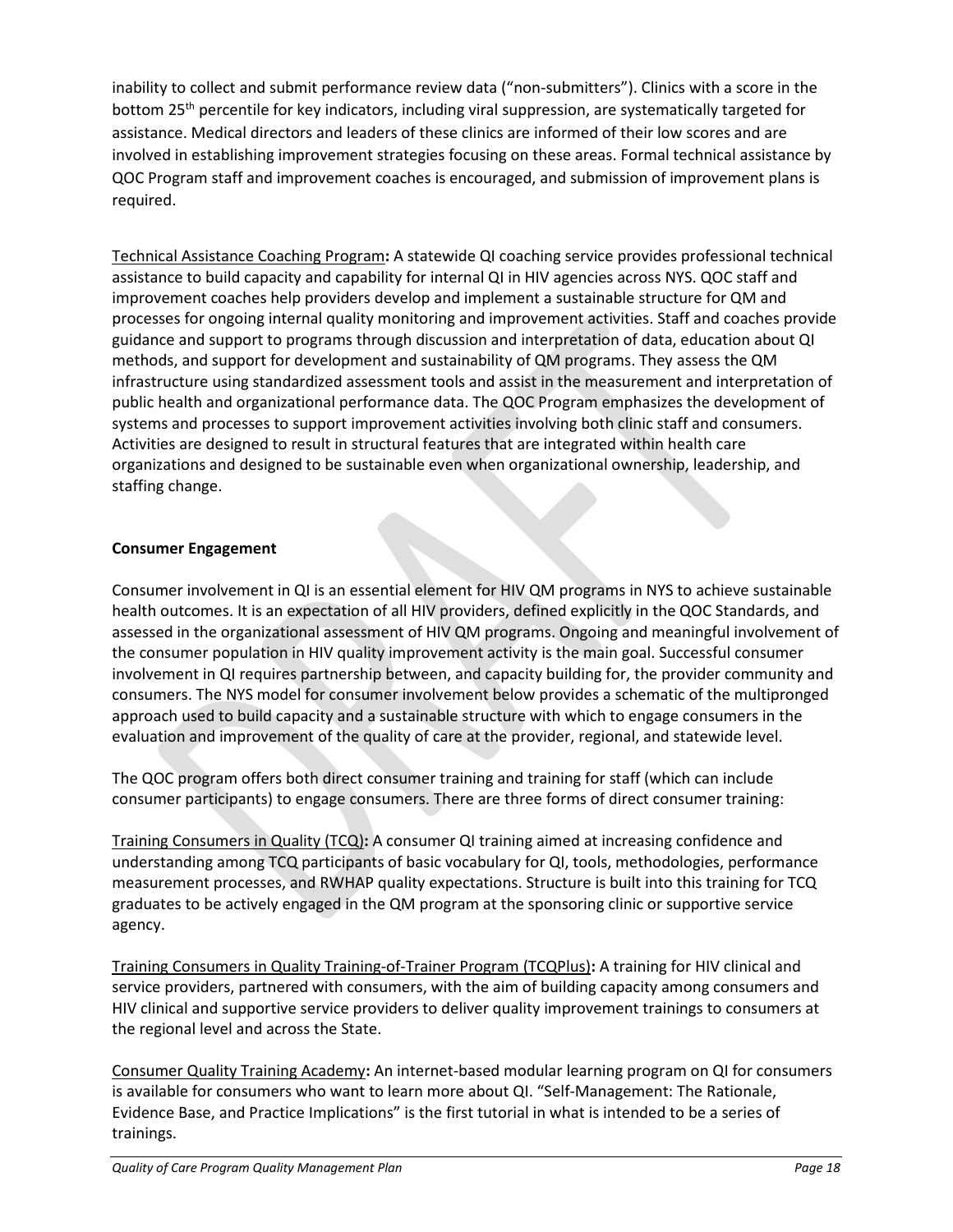inability to collect and submit performance review data ("non-submitters"). Clinics with a score in the bottom 25th percentile for key indicators, including viral suppression, are systematically targeted for assistance. Medical directors and leaders of these clinics are informed of their low scores and are involved in establishing improvement strategies focusing on these areas. Formal technical assistance by QOC Program staff and improvement coaches is encouraged, and submission of improvement plans is required.

Technical Assistance Coaching Program**:** A statewide QI coaching service provides professional technical assistance to build capacity and capability for internal QI in HIV agencies across NYS. QOC staff and improvement coaches help providers develop and implement a sustainable structure for QM and processes for ongoing internal quality monitoring and improvement activities. Staff and coaches provide guidance and support to programs through discussion and interpretation of data, education about QI methods, and support for development and sustainability of QM programs. They assess the QM infrastructure using standardized assessment tools and assist in the measurement and interpretation of public health and organizational performance data. The QOC Program emphasizes the development of systems and processes to support improvement activities involving both clinic staff and consumers. Activities are designed to result in structural features that are integrated within health care organizations and designed to be sustainable even when organizational ownership, leadership, and staffing change.

#### **Consumer Engagement**

Consumer involvement in QI is an essential element for HIV QM programs in NYS to achieve sustainable health outcomes. It is an expectation of all HIV providers, defined explicitly in the QOC Standards, and assessed in the organizational assessment of HIV QM programs. Ongoing and meaningful involvement of the consumer population in HIV quality improvement activity is the main goal. Successful consumer involvement in QI requires partnership between, and capacity building for, the provider community and consumers. The NYS model for consumer involvement below provides a schematic of the multipronged approach used to build capacity and a sustainable structure with which to engage consumers in the evaluation and improvement of the quality of care at the provider, regional, and statewide level.

The QOC program offers both direct consumer training and training for staff (which can include consumer participants) to engage consumers. There are three forms of direct consumer training:

Training Consumers in Quality (TCQ)**:** A consumer QI training aimed at increasing confidence and understanding among TCQ participants of basic vocabulary for QI, tools, methodologies, performance measurement processes, and RWHAP quality expectations. Structure is built into this training for TCQ graduates to be actively engaged in the QM program at the sponsoring clinic or supportive service agency.

Training Consumers in Quality Training-of-Trainer Program (TCQPlus)**:** A training for HIV clinical and service providers, partnered with consumers, with the aim of building capacity among consumers and HIV clinical and supportive service providers to deliver quality improvement trainings to consumers at the regional level and across the State.

Consumer Quality Training Academy**:** An internet-based modular learning program on QI for consumers is available for consumers who want to learn more about QI. "Self-Management: The Rationale, Evidence Base, and Practice Implications" is the first tutorial in what is intended to be a series of trainings.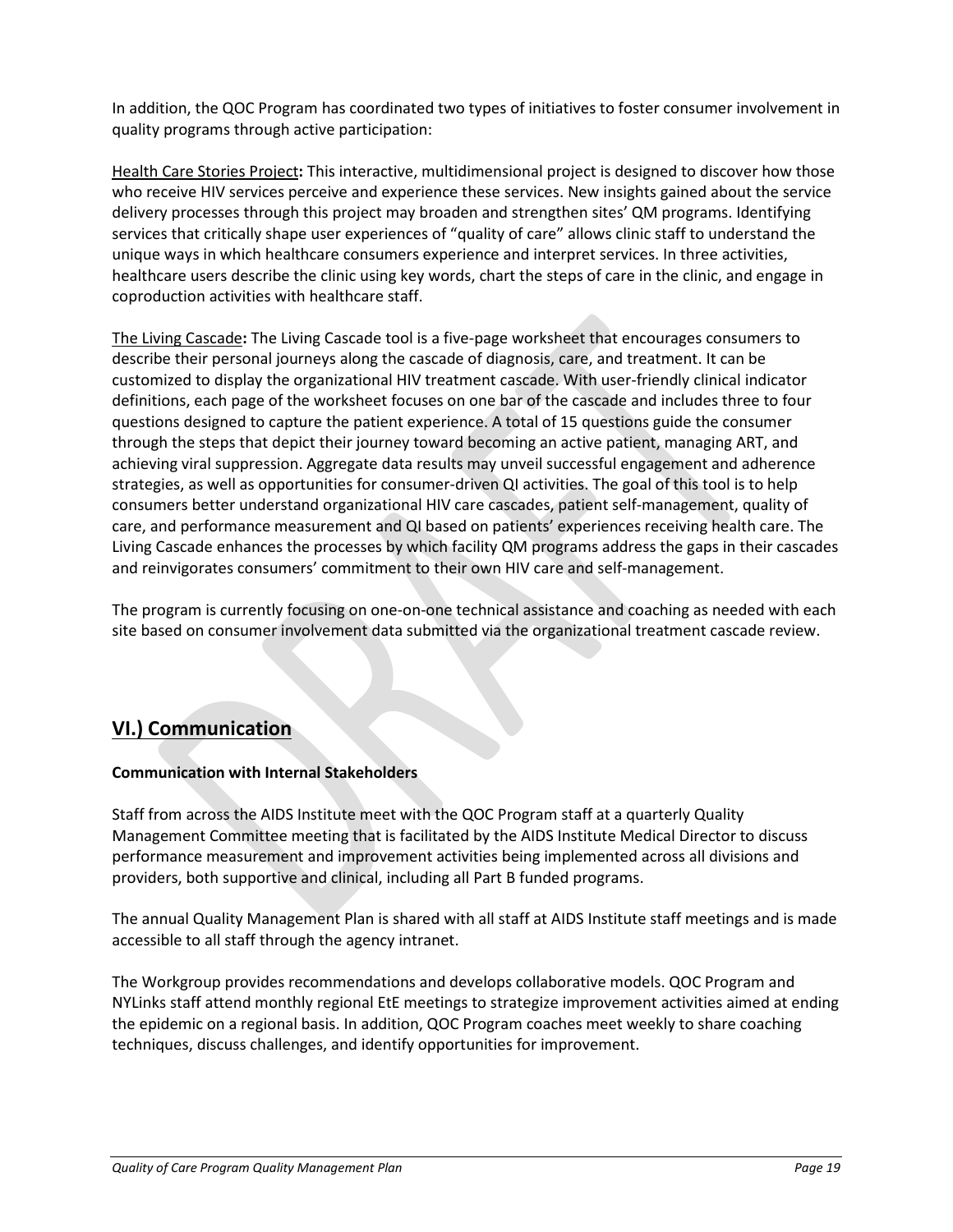In addition, the QOC Program has coordinated two types of initiatives to foster consumer involvement in quality programs through active participation:

Health Care Stories Project**:** This interactive, multidimensional project is designed to discover how those who receive HIV services perceive and experience these services. New insights gained about the service delivery processes through this project may broaden and strengthen sites' QM programs. Identifying services that critically shape user experiences of "quality of care" allows clinic staff to understand the unique ways in which healthcare consumers experience and interpret services. In three activities, healthcare users describe the clinic using key words, chart the steps of care in the clinic, and engage in coproduction activities with healthcare staff.

The Living Cascade**:** The Living Cascade tool is a five-page worksheet that encourages consumers to describe their personal journeys along the cascade of diagnosis, care, and treatment. It can be customized to display the organizational HIV treatment cascade. With user-friendly clinical indicator definitions, each page of the worksheet focuses on one bar of the cascade and includes three to four questions designed to capture the patient experience. A total of 15 questions guide the consumer through the steps that depict their journey toward becoming an active patient, managing ART, and achieving viral suppression. Aggregate data results may unveil successful engagement and adherence strategies, as well as opportunities for consumer-driven QI activities. The goal of this tool is to help consumers better understand organizational HIV care cascades, patient self-management, quality of care, and performance measurement and QI based on patients' experiences receiving health care. The Living Cascade enhances the processes by which facility QM programs address the gaps in their cascades and reinvigorates consumers' commitment to their own HIV care and self-management.

The program is currently focusing on one-on-one technical assistance and coaching as needed with each site based on consumer involvement data submitted via the organizational treatment cascade review.

# **VI.) Communication**

#### **Communication with Internal Stakeholders**

Staff from across the AIDS Institute meet with the QOC Program staff at a quarterly Quality Management Committee meeting that is facilitated by the AIDS Institute Medical Director to discuss performance measurement and improvement activities being implemented across all divisions and providers, both supportive and clinical, including all Part B funded programs.

The annual Quality Management Plan is shared with all staff at AIDS Institute staff meetings and is made accessible to all staff through the agency intranet.

The Workgroup provides recommendations and develops collaborative models. QOC Program and NYLinks staff attend monthly regional EtE meetings to strategize improvement activities aimed at ending the epidemic on a regional basis. In addition, QOC Program coaches meet weekly to share coaching techniques, discuss challenges, and identify opportunities for improvement.